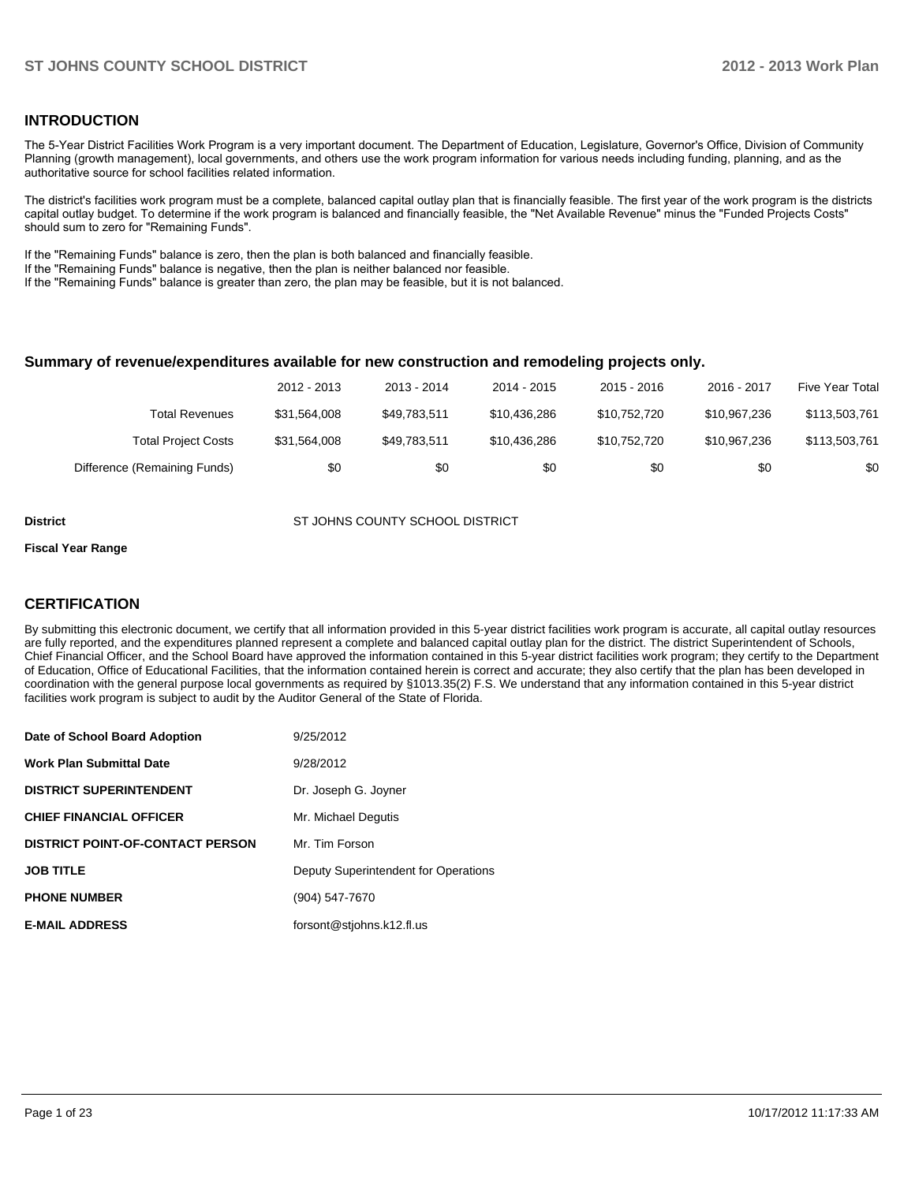#### **INTRODUCTION**

The 5-Year District Facilities Work Program is a very important document. The Department of Education, Legislature, Governor's Office, Division of Community Planning (growth management), local governments, and others use the work program information for various needs including funding, planning, and as the authoritative source for school facilities related information.

The district's facilities work program must be a complete, balanced capital outlay plan that is financially feasible. The first year of the work program is the districts capital outlay budget. To determine if the work program is balanced and financially feasible, the "Net Available Revenue" minus the "Funded Projects Costs" should sum to zero for "Remaining Funds".

If the "Remaining Funds" balance is zero, then the plan is both balanced and financially feasible.

If the "Remaining Funds" balance is negative, then the plan is neither balanced nor feasible.

If the "Remaining Funds" balance is greater than zero, the plan may be feasible, but it is not balanced.

#### **Summary of revenue/expenditures available for new construction and remodeling projects only.**

|                              | 2012 - 2013  | 2013 - 2014  | 2014 - 2015  | $2015 - 2016$ | 2016 - 2017  | Five Year Total |
|------------------------------|--------------|--------------|--------------|---------------|--------------|-----------------|
| Total Revenues               | \$31.564.008 | \$49.783.511 | \$10.436.286 | \$10.752.720  | \$10.967.236 | \$113,503,761   |
| <b>Total Project Costs</b>   | \$31,564,008 | \$49.783.511 | \$10.436.286 | \$10.752.720  | \$10.967.236 | \$113,503,761   |
| Difference (Remaining Funds) | \$0          | \$0          | \$0          | \$0           | \$0          | \$0             |

**District COUNTY SCHOOL DISTRICT** ST JOHNS COUNTY SCHOOL DISTRICT

#### **Fiscal Year Range**

#### **CERTIFICATION**

By submitting this electronic document, we certify that all information provided in this 5-year district facilities work program is accurate, all capital outlay resources are fully reported, and the expenditures planned represent a complete and balanced capital outlay plan for the district. The district Superintendent of Schools, Chief Financial Officer, and the School Board have approved the information contained in this 5-year district facilities work program; they certify to the Department of Education, Office of Educational Facilities, that the information contained herein is correct and accurate; they also certify that the plan has been developed in coordination with the general purpose local governments as required by §1013.35(2) F.S. We understand that any information contained in this 5-year district facilities work program is subject to audit by the Auditor General of the State of Florida.

| Date of School Board Adoption           | 9/25/2012                            |
|-----------------------------------------|--------------------------------------|
| <b>Work Plan Submittal Date</b>         | 9/28/2012                            |
| <b>DISTRICT SUPERINTENDENT</b>          | Dr. Joseph G. Joyner                 |
| <b>CHIEF FINANCIAL OFFICER</b>          | Mr. Michael Degutis                  |
| <b>DISTRICT POINT-OF-CONTACT PERSON</b> | Mr. Tim Forson                       |
| <b>JOB TITLE</b>                        | Deputy Superintendent for Operations |
| <b>PHONE NUMBER</b>                     | (904) 547-7670                       |
| <b>E-MAIL ADDRESS</b>                   | forsont@stjohns.k12.fl.us            |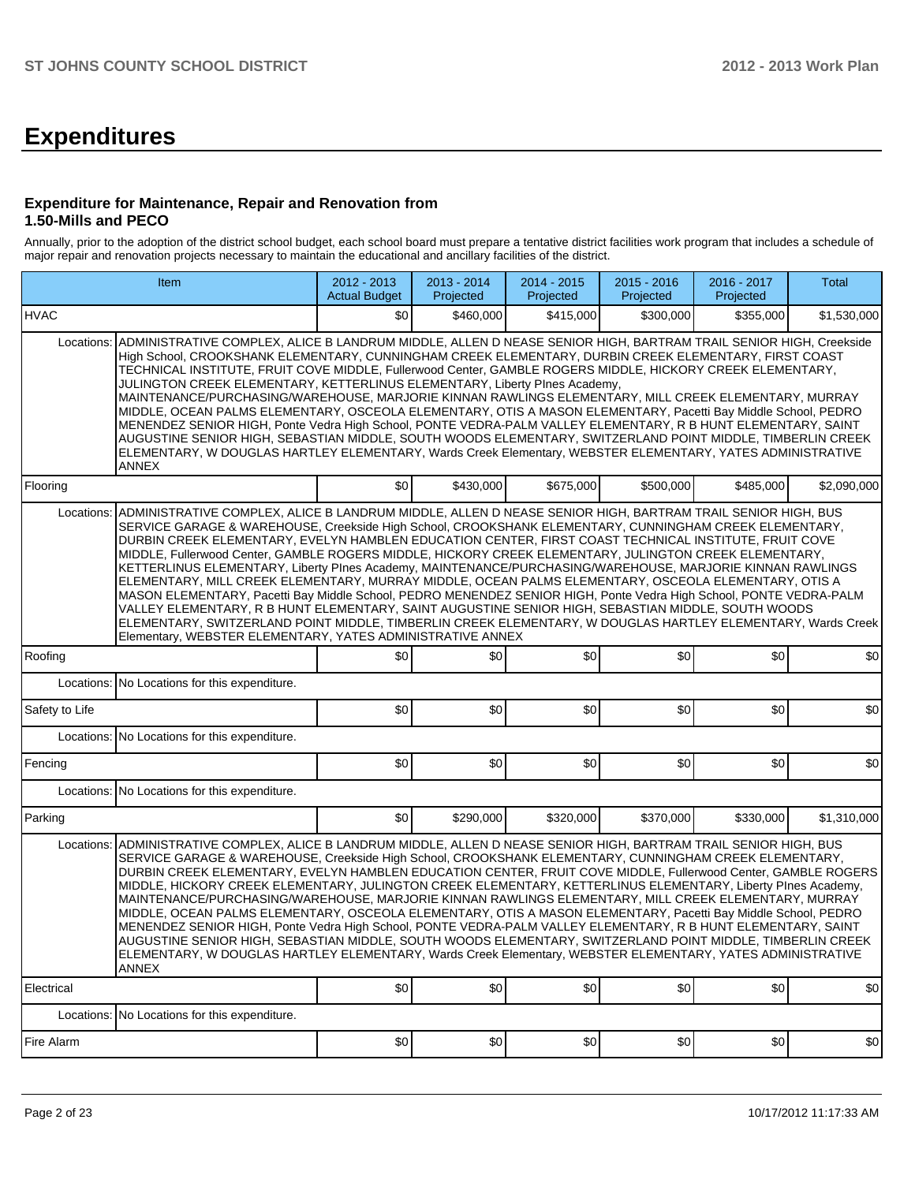# **Expenditures**

#### **Expenditure for Maintenance, Repair and Renovation from 1.50-Mills and PECO**

Annually, prior to the adoption of the district school budget, each school board must prepare a tentative district facilities work program that includes a schedule of major repair and renovation projects necessary to maintain the educational and ancillary facilities of the district.

|                | Item                                                                                                                                                                                                                                                                                                                                                                                                                                                                                                                                                                                                                                                                                                                                                                                                                                                                                                                                                                                                                                                                 | $2012 - 2013$<br><b>Actual Budget</b> | 2013 - 2014<br>Projected | 2014 - 2015<br>Projected | 2015 - 2016<br>Projected | 2016 - 2017<br>Projected | Total       |
|----------------|----------------------------------------------------------------------------------------------------------------------------------------------------------------------------------------------------------------------------------------------------------------------------------------------------------------------------------------------------------------------------------------------------------------------------------------------------------------------------------------------------------------------------------------------------------------------------------------------------------------------------------------------------------------------------------------------------------------------------------------------------------------------------------------------------------------------------------------------------------------------------------------------------------------------------------------------------------------------------------------------------------------------------------------------------------------------|---------------------------------------|--------------------------|--------------------------|--------------------------|--------------------------|-------------|
| <b>HVAC</b>    |                                                                                                                                                                                                                                                                                                                                                                                                                                                                                                                                                                                                                                                                                                                                                                                                                                                                                                                                                                                                                                                                      | \$0                                   | \$460.000                | \$415,000                | \$300,000                | \$355,000                | \$1,530,000 |
| Locations:     | ADMINISTRATIVE COMPLEX, ALICE B LANDRUM MIDDLE, ALLEN D NEASE SENIOR HIGH, BARTRAM TRAIL SENIOR HIGH, Creekside<br>High School, CROOKSHANK ELEMENTARY, CUNNINGHAM CREEK ELEMENTARY, DURBIN CREEK ELEMENTARY, FIRST COAST<br>TECHNICAL INSTITUTE, FRUIT COVE MIDDLE, Fullerwood Center, GAMBLE ROGERS MIDDLE, HICKORY CREEK ELEMENTARY,<br>JULINGTON CREEK ELEMENTARY, KETTERLINUS ELEMENTARY, Liberty Plnes Academy,<br>MAINTENANCE/PURCHASING/WAREHOUSE, MARJORIE KINNAN RAWLINGS ELEMENTARY, MILL CREEK ELEMENTARY, MURRAY<br>MIDDLE, OCEAN PALMS ELEMENTARY, OSCEOLA ELEMENTARY, OTIS A MASON ELEMENTARY, Pacetti Bay Middle School, PEDRO<br>MENENDEZ SENIOR HIGH, Ponte Vedra High School, PONTE VEDRA-PALM VALLEY ELEMENTARY, R B HUNT ELEMENTARY, SAINT<br>AUGUSTINE SENIOR HIGH, SEBASTIAN MIDDLE, SOUTH WOODS ELEMENTARY, SWITZERLAND POINT MIDDLE, TIMBERLIN CREEK<br>ELEMENTARY, W DOUGLAS HARTLEY ELEMENTARY, Wards Creek Elementary, WEBSTER ELEMENTARY, YATES ADMINISTRATIVE<br>ANNEX                                                                  | \$0                                   | \$430,000                |                          |                          |                          |             |
| Flooring       |                                                                                                                                                                                                                                                                                                                                                                                                                                                                                                                                                                                                                                                                                                                                                                                                                                                                                                                                                                                                                                                                      |                                       |                          | \$675,000                | \$500,000                | \$485,000                | \$2.090.000 |
| Locations:     | ADMINISTRATIVE COMPLEX, ALICE B LANDRUM MIDDLE, ALLEN D NEASE SENIOR HIGH, BARTRAM TRAIL SENIOR HIGH, BUS<br>SERVICE GARAGE & WAREHOUSE, Creekside High School, CROOKSHANK ELEMENTARY, CUNNINGHAM CREEK ELEMENTARY,<br>DURBIN CREEK ELEMENTARY. EVELYN HAMBLEN EDUCATION CENTER. FIRST COAST TECHNICAL INSTITUTE. FRUIT COVE<br>MIDDLE, Fullerwood Center, GAMBLE ROGERS MIDDLE, HICKORY CREEK ELEMENTARY, JULINGTON CREEK ELEMENTARY,<br>KETTERLINUS ELEMENTARY, Liberty Plnes Academy, MAINTENANCE/PURCHASING/WAREHOUSE, MARJORIE KINNAN RAWLINGS<br>ELEMENTARY, MILL CREEK ELEMENTARY, MURRAY MIDDLE, OCEAN PALMS ELEMENTARY, OSCEOLA ELEMENTARY, OTIS A<br>MASON ELEMENTARY, Pacetti Bay Middle School, PEDRO MENENDEZ SENIOR HIGH, Ponte Vedra High School, PONTE VEDRA-PALM<br>VALLEY ELEMENTARY, R B HUNT ELEMENTARY, SAINT AUGUSTINE SENIOR HIGH, SEBASTIAN MIDDLE, SOUTH WOODS<br>ELEMENTARY, SWITZERLAND POINT MIDDLE, TIMBERLIN CREEK ELEMENTARY, W DOUGLAS HARTLEY ELEMENTARY, Wards Creek<br>Elementary, WEBSTER ELEMENTARY, YATES ADMINISTRATIVE ANNEX |                                       |                          |                          |                          |                          |             |
| Roofing        |                                                                                                                                                                                                                                                                                                                                                                                                                                                                                                                                                                                                                                                                                                                                                                                                                                                                                                                                                                                                                                                                      | \$0                                   | \$0                      | \$0                      | \$0                      | \$0                      | \$0         |
| Locations:     | No Locations for this expenditure.                                                                                                                                                                                                                                                                                                                                                                                                                                                                                                                                                                                                                                                                                                                                                                                                                                                                                                                                                                                                                                   |                                       |                          |                          |                          |                          |             |
| Safety to Life |                                                                                                                                                                                                                                                                                                                                                                                                                                                                                                                                                                                                                                                                                                                                                                                                                                                                                                                                                                                                                                                                      | \$0                                   | \$0                      | \$0                      | \$0                      | \$0                      | \$0         |
|                | Locations: No Locations for this expenditure.                                                                                                                                                                                                                                                                                                                                                                                                                                                                                                                                                                                                                                                                                                                                                                                                                                                                                                                                                                                                                        |                                       |                          |                          |                          |                          |             |
| Fencing        |                                                                                                                                                                                                                                                                                                                                                                                                                                                                                                                                                                                                                                                                                                                                                                                                                                                                                                                                                                                                                                                                      | \$0                                   | \$0                      | \$0                      | \$0                      | \$0                      | \$0         |
|                | Locations: No Locations for this expenditure.                                                                                                                                                                                                                                                                                                                                                                                                                                                                                                                                                                                                                                                                                                                                                                                                                                                                                                                                                                                                                        |                                       |                          |                          |                          |                          |             |
| Parking        |                                                                                                                                                                                                                                                                                                                                                                                                                                                                                                                                                                                                                                                                                                                                                                                                                                                                                                                                                                                                                                                                      | \$0                                   | \$290,000                | \$320,000                | \$370,000                | \$330,000                | \$1,310,000 |
|                | Locations: ADMINISTRATIVE COMPLEX, ALICE B LANDRUM MIDDLE, ALLEN D NEASE SENIOR HIGH, BARTRAM TRAIL SENIOR HIGH, BUS<br>SERVICE GARAGE & WAREHOUSE, Creekside High School, CROOKSHANK ELEMENTARY, CUNNINGHAM CREEK ELEMENTARY,<br>DURBIN CREEK ELEMENTARY, EVELYN HAMBLEN EDUCATION CENTER, FRUIT COVE MIDDLE, Fullerwood Center, GAMBLE ROGERS<br>MIDDLE, HICKORY CREEK ELEMENTARY, JULINGTON CREEK ELEMENTARY, KETTERLINUS ELEMENTARY, Liberty Plnes Academy,<br>MAINTENANCE/PURCHASING/WAREHOUSE, MARJORIE KINNAN RAWLINGS ELEMENTARY, MILL CREEK ELEMENTARY, MURRAY<br>MIDDLE, OCEAN PALMS ELEMENTARY, OSCEOLA ELEMENTARY, OTIS A MASON ELEMENTARY, Pacetti Bay Middle School, PEDRO<br>MENENDEZ SENIOR HIGH, Ponte Vedra High School, PONTE VEDRA-PALM VALLEY ELEMENTARY, R B HUNT ELEMENTARY, SAINT<br>AUGUSTINE SENIOR HIGH, SEBASTIAN MIDDLE, SOUTH WOODS ELEMENTARY, SWITZERLAND POINT MIDDLE, TIMBERLIN CREEK<br>ELEMENTARY, W DOUGLAS HARTLEY ELEMENTARY, Wards Creek Elementary, WEBSTER ELEMENTARY, YATES ADMINISTRATIVE<br><b>ANNEX</b>                |                                       |                          |                          |                          |                          |             |
| Electrical     |                                                                                                                                                                                                                                                                                                                                                                                                                                                                                                                                                                                                                                                                                                                                                                                                                                                                                                                                                                                                                                                                      | \$0                                   | \$0                      | \$0                      | \$0                      | \$0                      | \$0         |
| Locations:     | No Locations for this expenditure.                                                                                                                                                                                                                                                                                                                                                                                                                                                                                                                                                                                                                                                                                                                                                                                                                                                                                                                                                                                                                                   |                                       |                          |                          |                          |                          |             |
| Fire Alarm     |                                                                                                                                                                                                                                                                                                                                                                                                                                                                                                                                                                                                                                                                                                                                                                                                                                                                                                                                                                                                                                                                      | \$0                                   | \$0                      | \$0                      | \$0                      | \$0                      | \$0         |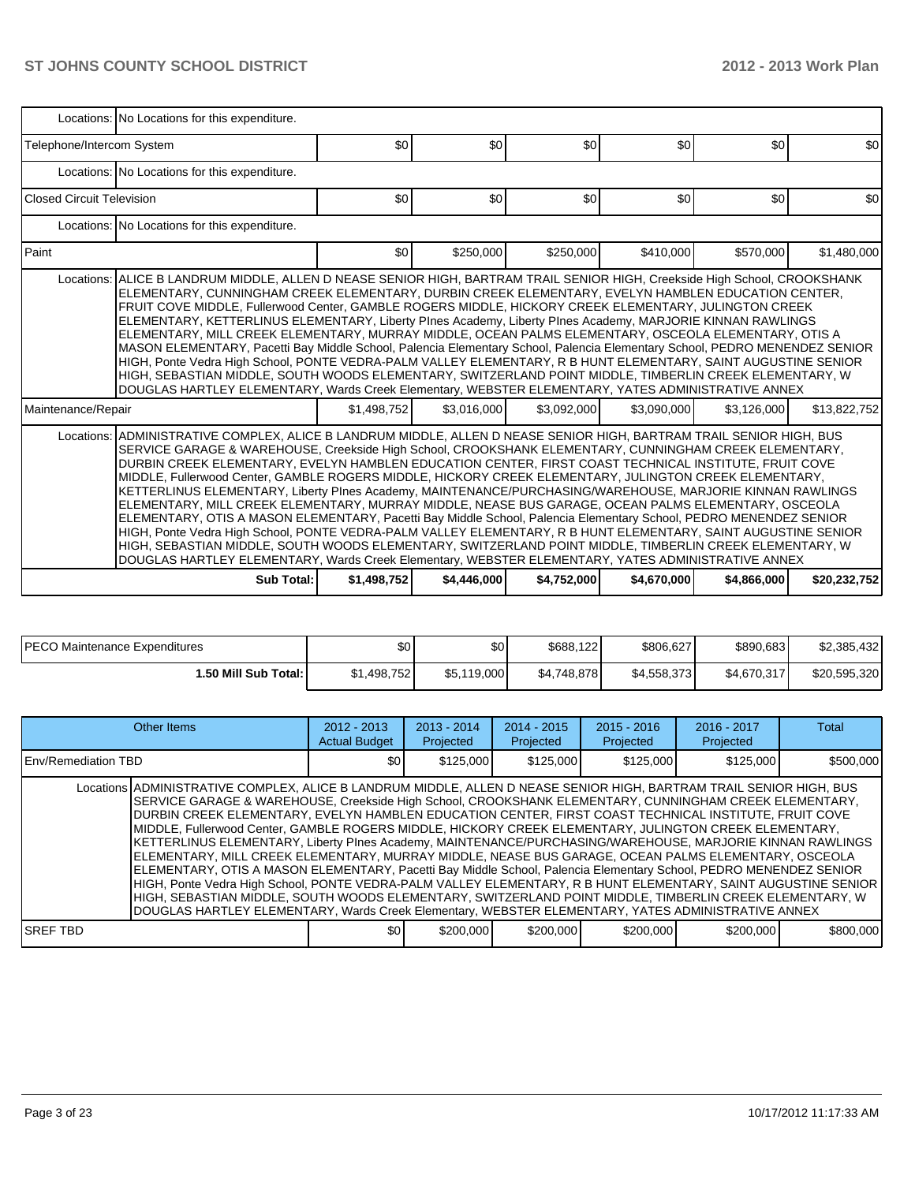|                                  | Locations: No Locations for this expenditure.                                                                                                                                                                                                                                                                                                                                                                                                                                                                                                                                                                                                                                                                                                                                                                                                                                                                                                                                                                                                                                                                                 |             |             |             |             |             |              |  |  |  |  |  |  |
|----------------------------------|-------------------------------------------------------------------------------------------------------------------------------------------------------------------------------------------------------------------------------------------------------------------------------------------------------------------------------------------------------------------------------------------------------------------------------------------------------------------------------------------------------------------------------------------------------------------------------------------------------------------------------------------------------------------------------------------------------------------------------------------------------------------------------------------------------------------------------------------------------------------------------------------------------------------------------------------------------------------------------------------------------------------------------------------------------------------------------------------------------------------------------|-------------|-------------|-------------|-------------|-------------|--------------|--|--|--|--|--|--|
| Telephone/Intercom System        |                                                                                                                                                                                                                                                                                                                                                                                                                                                                                                                                                                                                                                                                                                                                                                                                                                                                                                                                                                                                                                                                                                                               | \$0         | \$0         | \$0         | \$0         | \$0         | \$0          |  |  |  |  |  |  |
|                                  | Locations: No Locations for this expenditure.                                                                                                                                                                                                                                                                                                                                                                                                                                                                                                                                                                                                                                                                                                                                                                                                                                                                                                                                                                                                                                                                                 |             |             |             |             |             |              |  |  |  |  |  |  |
| <b>Closed Circuit Television</b> |                                                                                                                                                                                                                                                                                                                                                                                                                                                                                                                                                                                                                                                                                                                                                                                                                                                                                                                                                                                                                                                                                                                               | \$0         | \$0         | \$0         | \$0         | \$0         | \$0          |  |  |  |  |  |  |
|                                  | Locations: No Locations for this expenditure.                                                                                                                                                                                                                                                                                                                                                                                                                                                                                                                                                                                                                                                                                                                                                                                                                                                                                                                                                                                                                                                                                 |             |             |             |             |             |              |  |  |  |  |  |  |
| Paint                            |                                                                                                                                                                                                                                                                                                                                                                                                                                                                                                                                                                                                                                                                                                                                                                                                                                                                                                                                                                                                                                                                                                                               | \$0         | \$250,000   | \$250,000   | \$410,000   | \$570,000   | \$1,480,000  |  |  |  |  |  |  |
|                                  | Locations: ALICE B LANDRUM MIDDLE, ALLEN D NEASE SENIOR HIGH, BARTRAM TRAIL SENIOR HIGH, Creekside High School, CROOKSHANK<br>ELEMENTARY, CUNNINGHAM CREEK ELEMENTARY, DURBIN CREEK ELEMENTARY, EVELYN HAMBLEN EDUCATION CENTER,<br>FRUIT COVE MIDDLE, Fullerwood Center, GAMBLE ROGERS MIDDLE, HICKORY CREEK ELEMENTARY, JULINGTON CREEK<br>ELEMENTARY, KETTERLINUS ELEMENTARY, Liberty Plnes Academy, Liberty Plnes Academy, MARJORIE KINNAN RAWLINGS<br>ELEMENTARY, MILL CREEK ELEMENTARY, MURRAY MIDDLE, OCEAN PALMS ELEMENTARY, OSCEOLA ELEMENTARY, OTIS A<br>MASON ELEMENTARY, Pacetti Bay Middle School, Palencia Elementary School, Palencia Elementary School, PEDRO MENENDEZ SENIOR<br>HIGH, Ponte Vedra High School, PONTE VEDRA-PALM VALLEY ELEMENTARY, R B HUNT ELEMENTARY, SAINT AUGUSTINE SENIOR<br>HIGH, SEBASTIAN MIDDLE, SOUTH WOODS ELEMENTARY, SWITZERLAND POINT MIDDLE, TIMBERLIN CREEK ELEMENTARY, W<br>DOUGLAS HARTLEY ELEMENTARY, Wards Creek Elementary, WEBSTER ELEMENTARY, YATES ADMINISTRATIVE ANNEX                                                                                              |             |             |             |             |             |              |  |  |  |  |  |  |
| Maintenance/Repair               |                                                                                                                                                                                                                                                                                                                                                                                                                                                                                                                                                                                                                                                                                                                                                                                                                                                                                                                                                                                                                                                                                                                               | \$1,498,752 | \$3,016,000 | \$3,092,000 | \$3,090,000 | \$3.126.000 | \$13,822,752 |  |  |  |  |  |  |
|                                  | Locations: ADMINISTRATIVE COMPLEX, ALICE B LANDRUM MIDDLE, ALLEN D NEASE SENIOR HIGH, BARTRAM TRAIL SENIOR HIGH, BUS<br>SERVICE GARAGE & WAREHOUSE, Creekside High School, CROOKSHANK ELEMENTARY, CUNNINGHAM CREEK ELEMENTARY,<br>DURBIN CREEK ELEMENTARY. EVELYN HAMBLEN EDUCATION CENTER. FIRST COAST TECHNICAL INSTITUTE. FRUIT COVE<br>MIDDLE, Fullerwood Center, GAMBLE ROGERS MIDDLE, HICKORY CREEK ELEMENTARY, JULINGTON CREEK ELEMENTARY,<br>KETTERLINUS ELEMENTARY, Liberty Plnes Academy, MAINTENANCE/PURCHASING/WAREHOUSE, MARJORIE KINNAN RAWLINGS<br>ELEMENTARY, MILL CREEK ELEMENTARY, MURRAY MIDDLE, NEASE BUS GARAGE, OCEAN PALMS ELEMENTARY, OSCEOLA<br>ELEMENTARY, OTIS A MASON ELEMENTARY, Pacetti Bay Middle School, Palencia Elementary School, PEDRO MENENDEZ SENIOR<br>HIGH, Ponte Vedra High School, PONTE VEDRA-PALM VALLEY ELEMENTARY, R B HUNT ELEMENTARY, SAINT AUGUSTINE SENIOR<br>HIGH, SEBASTIAN MIDDLE, SOUTH WOODS ELEMENTARY, SWITZERLAND POINT MIDDLE, TIMBERLIN CREEK ELEMENTARY, W<br>DOUGLAS HARTLEY ELEMENTARY, Wards Creek Elementary, WEBSTER ELEMENTARY, YATES ADMINISTRATIVE ANNEX |             |             |             |             |             |              |  |  |  |  |  |  |
|                                  | Sub Total:                                                                                                                                                                                                                                                                                                                                                                                                                                                                                                                                                                                                                                                                                                                                                                                                                                                                                                                                                                                                                                                                                                                    | \$1,498,752 | \$4,446,000 | \$4,752,000 | \$4,670,000 | \$4,866,000 | \$20,232,752 |  |  |  |  |  |  |

| <b>PECO Maintenance Expenditures</b> | \$0         | \$0         | \$688,122   | \$806,627   | \$890,683   | \$2,385,432  |
|--------------------------------------|-------------|-------------|-------------|-------------|-------------|--------------|
| <b>1.50 Mill Sub Total: I</b>        | \$1,498,752 | \$5,119,000 | \$4.748.878 | \$4,558,373 | \$4,670,317 | \$20,595,320 |

| Other Items                                                                                                                                                                                                                                                                                                                                                                                                                                                                                                                                                                                                                                                                                                                                                                                                                                                                                                                                                                                                                                                                                                                                                                                                                                                     | $2012 - 2013$<br><b>Actual Budget</b> | $2013 - 2014$<br>Projected | $2014 - 2015$<br>Projected | $2015 - 2016$<br>Projected | $2016 - 2017$<br>Projected | Total     |  |  |  |  |
|-----------------------------------------------------------------------------------------------------------------------------------------------------------------------------------------------------------------------------------------------------------------------------------------------------------------------------------------------------------------------------------------------------------------------------------------------------------------------------------------------------------------------------------------------------------------------------------------------------------------------------------------------------------------------------------------------------------------------------------------------------------------------------------------------------------------------------------------------------------------------------------------------------------------------------------------------------------------------------------------------------------------------------------------------------------------------------------------------------------------------------------------------------------------------------------------------------------------------------------------------------------------|---------------------------------------|----------------------------|----------------------------|----------------------------|----------------------------|-----------|--|--|--|--|
| <b>IEnv/Remediation TBD</b>                                                                                                                                                                                                                                                                                                                                                                                                                                                                                                                                                                                                                                                                                                                                                                                                                                                                                                                                                                                                                                                                                                                                                                                                                                     |                                       |                            | \$125,000                  |                            |                            | \$500,000 |  |  |  |  |
| \$125.000<br>\$0<br>\$125,000<br>\$125,000<br>Locations ADMINISTRATIVE COMPLEX, ALICE B LANDRUM MIDDLE, ALLEN D NEASE SENIOR HIGH, BARTRAM TRAIL SENIOR HIGH, BUS<br>SERVICE GARAGE & WAREHOUSE, Creekside High School, CROOKSHANK ELEMENTARY, CUNNINGHAM CREEK ELEMENTARY,<br>DURBIN CREEK ELEMENTARY. EVELYN HAMBLEN EDUCATION CENTER. FIRST COAST TECHNICAL INSTITUTE. FRUIT COVE<br>MIDDLE, Fullerwood Center, GAMBLE ROGERS MIDDLE, HICKORY CREEK ELEMENTARY, JULINGTON CREEK ELEMENTARY,<br>KETTERLINUS ELEMENTARY, Liberty PInes Academy, MAINTENANCE/PURCHASING/WAREHOUSE, MARJORIE KINNAN RAWLINGS<br>ELEMENTARY, MILL CREEK ELEMENTARY, MURRAY MIDDLE, NEASE BUS GARAGE, OCEAN PALMS ELEMENTARY, OSCEOLA<br>ELEMENTARY, OTIS A MASON ELEMENTARY, Pacetti Bay Middle School, Palencia Elementary School, PEDRO MENENDEZ SENIOR<br>HIGH, Ponte Vedra High School, PONTE VEDRA-PALM VALLEY ELEMENTARY, R B HUNT ELEMENTARY, SAINT AUGUSTINE SENIOR<br>HIGH. SEBASTIAN MIDDLE. SOUTH WOODS ELEMENTARY. SWITZERLAND POINT MIDDLE. TIMBERLIN CREEK ELEMENTARY. W<br>DOUGLAS HARTLEY ELEMENTARY, Wards Creek Elementary, WEBSTER ELEMENTARY, YATES ADMINISTRATIVE ANNEX<br>\$200,000<br>\$200,000<br>\$800,000<br>ISREF TBD<br>\$0<br>\$200,000<br>\$200,000 |                                       |                            |                            |                            |                            |           |  |  |  |  |
|                                                                                                                                                                                                                                                                                                                                                                                                                                                                                                                                                                                                                                                                                                                                                                                                                                                                                                                                                                                                                                                                                                                                                                                                                                                                 |                                       |                            |                            |                            |                            |           |  |  |  |  |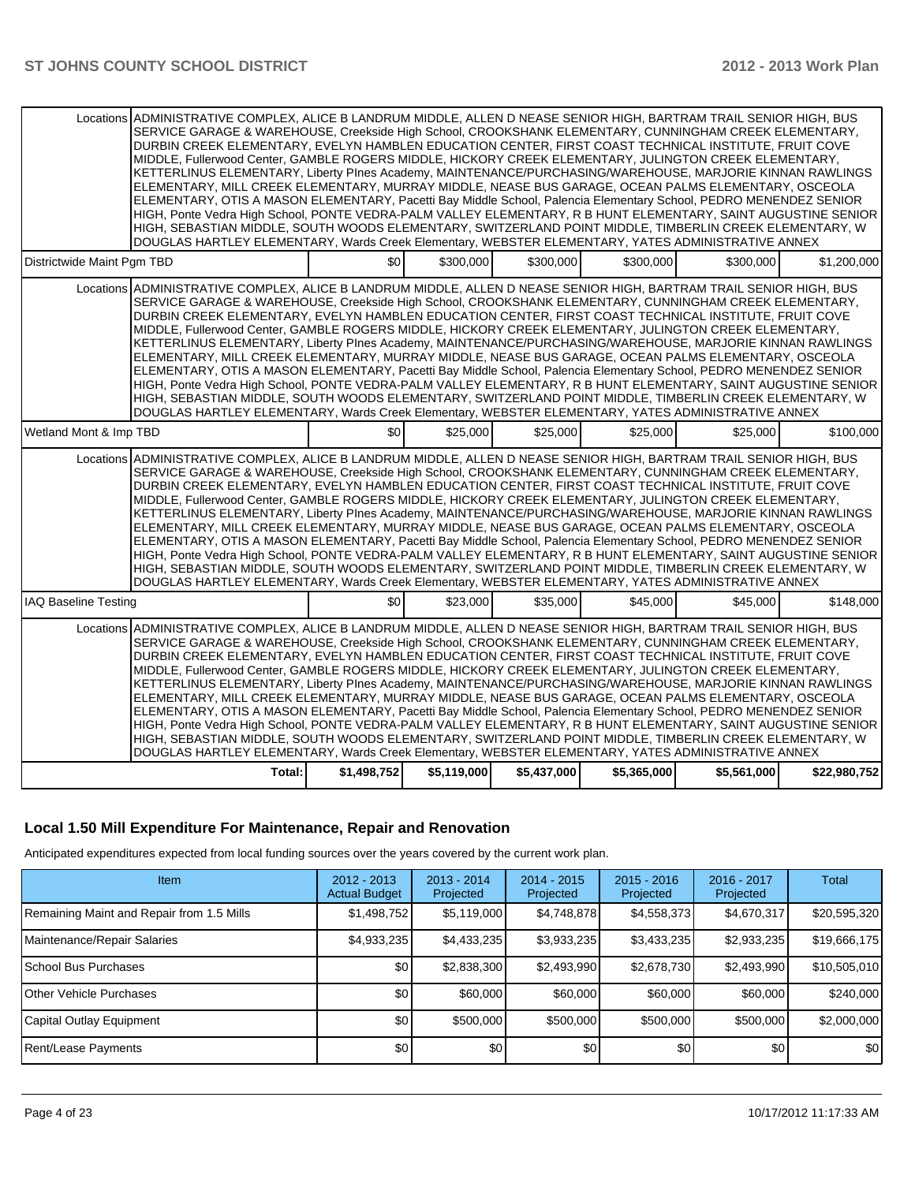|                             | Locations ADMINISTRATIVE COMPLEX, ALICE B LANDRUM MIDDLE, ALLEN D NEASE SENIOR HIGH, BARTRAM TRAIL SENIOR HIGH, BUS<br>SERVICE GARAGE & WAREHOUSE, Creekside High School, CROOKSHANK ELEMENTARY, CUNNINGHAM CREEK ELEMENTARY,<br>DURBIN CREEK ELEMENTARY, EVELYN HAMBLEN EDUCATION CENTER, FIRST COAST TECHNICAL INSTITUTE, FRUIT COVE<br>MIDDLE, Fullerwood Center, GAMBLE ROGERS MIDDLE, HICKORY CREEK ELEMENTARY, JULINGTON CREEK ELEMENTARY,<br>KETTERLINUS ELEMENTARY, Liberty PInes Academy, MAINTENANCE/PURCHASING/WAREHOUSE, MARJORIE KINNAN RAWLINGS<br>ELEMENTARY, MILL CREEK ELEMENTARY, MURRAY MIDDLE, NEASE BUS GARAGE, OCEAN PALMS ELEMENTARY, OSCEOLA<br>ELEMENTARY, OTIS A MASON ELEMENTARY, Pacetti Bay Middle School, Palencia Elementary School, PEDRO MENENDEZ SENIOR<br>HIGH, Ponte Vedra High School, PONTE VEDRA-PALM VALLEY ELEMENTARY, R B HUNT ELEMENTARY, SAINT AUGUSTINE SENIOR                                                                                                                                                                                                                  |                |             |             |             |             |              |
|-----------------------------|------------------------------------------------------------------------------------------------------------------------------------------------------------------------------------------------------------------------------------------------------------------------------------------------------------------------------------------------------------------------------------------------------------------------------------------------------------------------------------------------------------------------------------------------------------------------------------------------------------------------------------------------------------------------------------------------------------------------------------------------------------------------------------------------------------------------------------------------------------------------------------------------------------------------------------------------------------------------------------------------------------------------------------------------------------------------------------------------------------------------------|----------------|-------------|-------------|-------------|-------------|--------------|
|                             | HIGH, SEBASTIAN MIDDLE, SOUTH WOODS ELEMENTARY, SWITZERLAND POINT MIDDLE, TIMBERLIN CREEK ELEMENTARY, W<br>DOUGLAS HARTLEY ELEMENTARY, Wards Creek Elementary, WEBSTER ELEMENTARY, YATES ADMINISTRATIVE ANNEX                                                                                                                                                                                                                                                                                                                                                                                                                                                                                                                                                                                                                                                                                                                                                                                                                                                                                                                |                |             |             |             |             |              |
| Districtwide Maint Pgm TBD  |                                                                                                                                                                                                                                                                                                                                                                                                                                                                                                                                                                                                                                                                                                                                                                                                                                                                                                                                                                                                                                                                                                                              | \$0            | \$300,000   | \$300,000   | \$300,000   | \$300,000   | \$1,200,000  |
|                             | Locations ADMINISTRATIVE COMPLEX, ALICE B LANDRUM MIDDLE, ALLEN D NEASE SENIOR HIGH, BARTRAM TRAIL SENIOR HIGH, BUS<br>SERVICE GARAGE & WAREHOUSE, Creekside High School, CROOKSHANK ELEMENTARY, CUNNINGHAM CREEK ELEMENTARY,<br>DURBIN CREEK ELEMENTARY, EVELYN HAMBLEN EDUCATION CENTER, FIRST COAST TECHNICAL INSTITUTE, FRUIT COVE<br>MIDDLE, Fullerwood Center, GAMBLE ROGERS MIDDLE, HICKORY CREEK ELEMENTARY, JULINGTON CREEK ELEMENTARY,<br>KETTERLINUS ELEMENTARY, Liberty PInes Academy, MAINTENANCE/PURCHASING/WAREHOUSE, MARJORIE KINNAN RAWLINGS<br>ELEMENTARY, MILL CREEK ELEMENTARY, MURRAY MIDDLE, NEASE BUS GARAGE, OCEAN PALMS ELEMENTARY, OSCEOLA<br>ELEMENTARY, OTIS A MASON ELEMENTARY, Pacetti Bay Middle School, Palencia Elementary School, PEDRO MENENDEZ SENIOR<br>HIGH, Ponte Vedra High School, PONTE VEDRA-PALM VALLEY ELEMENTARY, R B HUNT ELEMENTARY, SAINT AUGUSTINE SENIOR<br>HIGH, SEBASTIAN MIDDLE, SOUTH WOODS ELEMENTARY, SWITZERLAND POINT MIDDLE, TIMBERLIN CREEK ELEMENTARY, W<br>DOUGLAS HARTLEY ELEMENTARY, Wards Creek Elementary, WEBSTER ELEMENTARY, YATES ADMINISTRATIVE ANNEX |                |             |             |             |             |              |
| Wetland Mont & Imp TBD      |                                                                                                                                                                                                                                                                                                                                                                                                                                                                                                                                                                                                                                                                                                                                                                                                                                                                                                                                                                                                                                                                                                                              | $\frac{1}{20}$ | \$25,000    | \$25,000    | \$25,000    | \$25,000    | \$100.000    |
|                             | Locations ADMINISTRATIVE COMPLEX, ALICE B LANDRUM MIDDLE, ALLEN D NEASE SENIOR HIGH, BARTRAM TRAIL SENIOR HIGH, BUS<br>SERVICE GARAGE & WAREHOUSE, Creekside High School, CROOKSHANK ELEMENTARY, CUNNINGHAM CREEK ELEMENTARY,<br>DURBIN CREEK ELEMENTARY, EVELYN HAMBLEN EDUCATION CENTER, FIRST COAST TECHNICAL INSTITUTE, FRUIT COVE<br>MIDDLE, Fullerwood Center, GAMBLE ROGERS MIDDLE, HICKORY CREEK ELEMENTARY, JULINGTON CREEK ELEMENTARY,<br>KETTERLINUS ELEMENTARY, Liberty PInes Academy, MAINTENANCE/PURCHASING/WAREHOUSE, MARJORIE KINNAN RAWLINGS<br>ELEMENTARY, MILL CREEK ELEMENTARY, MURRAY MIDDLE, NEASE BUS GARAGE, OCEAN PALMS ELEMENTARY, OSCEOLA<br>ELEMENTARY, OTIS A MASON ELEMENTARY, Pacetti Bay Middle School, Palencia Elementary School, PEDRO MENENDEZ SENIOR<br>HIGH, Ponte Vedra High School, PONTE VEDRA-PALM VALLEY ELEMENTARY, R B HUNT ELEMENTARY, SAINT AUGUSTINE SENIOR<br>HIGH, SEBASTIAN MIDDLE, SOUTH WOODS ELEMENTARY, SWITZERLAND POINT MIDDLE, TIMBERLIN CREEK ELEMENTARY, W<br>DOUGLAS HARTLEY ELEMENTARY, Wards Creek Elementary, WEBSTER ELEMENTARY, YATES ADMINISTRATIVE ANNEX |                |             |             |             |             |              |
| <b>IAQ Baseline Testing</b> |                                                                                                                                                                                                                                                                                                                                                                                                                                                                                                                                                                                                                                                                                                                                                                                                                                                                                                                                                                                                                                                                                                                              | \$0            | \$23,000    | \$35,000    | \$45,000    | \$45,000    | \$148,000    |
|                             | Locations ADMINISTRATIVE COMPLEX, ALICE B LANDRUM MIDDLE, ALLEN D NEASE SENIOR HIGH, BARTRAM TRAIL SENIOR HIGH, BUS<br>SERVICE GARAGE & WAREHOUSE, Creekside High School, CROOKSHANK ELEMENTARY, CUNNINGHAM CREEK ELEMENTARY,<br>DURBIN CREEK ELEMENTARY, EVELYN HAMBLEN EDUCATION CENTER, FIRST COAST TECHNICAL INSTITUTE, FRUIT COVE<br>MIDDLE, Fullerwood Center, GAMBLE ROGERS MIDDLE, HICKORY CREEK ELEMENTARY, JULINGTON CREEK ELEMENTARY,<br>KETTERLINUS ELEMENTARY, Liberty PInes Academy, MAINTENANCE/PURCHASING/WAREHOUSE, MARJORIE KINNAN RAWLINGS<br>ELEMENTARY, MILL CREEK ELEMENTARY, MURRAY MIDDLE, NEASE BUS GARAGE, OCEAN PALMS ELEMENTARY, OSCEOLA<br>ELEMENTARY, OTIS A MASON ELEMENTARY, Pacetti Bay Middle School, Palencia Elementary School, PEDRO MENENDEZ SENIOR<br>HIGH, Ponte Vedra High School, PONTE VEDRA-PALM VALLEY ELEMENTARY, R B HUNT ELEMENTARY, SAINT AUGUSTINE SENIOR<br>HIGH, SEBASTIAN MIDDLE, SOUTH WOODS ELEMENTARY, SWITZERLAND POINT MIDDLE, TIMBERLIN CREEK ELEMENTARY, W<br>DOUGLAS HARTLEY ELEMENTARY, Wards Creek Elementary, WEBSTER ELEMENTARY, YATES ADMINISTRATIVE ANNEX |                |             |             |             |             |              |
|                             | Total:                                                                                                                                                                                                                                                                                                                                                                                                                                                                                                                                                                                                                                                                                                                                                                                                                                                                                                                                                                                                                                                                                                                       | \$1,498,752    | \$5,119,000 | \$5,437,000 | \$5,365,000 | \$5,561,000 | \$22,980,752 |

#### **Local 1.50 Mill Expenditure For Maintenance, Repair and Renovation**

Anticipated expenditures expected from local funding sources over the years covered by the current work plan.

| <b>Item</b>                               | $2012 - 2013$<br><b>Actual Budget</b> | $2013 - 2014$<br>Projected | $2014 - 2015$<br>Projected | $2015 - 2016$<br>Projected | 2016 - 2017<br>Projected | <b>Total</b> |
|-------------------------------------------|---------------------------------------|----------------------------|----------------------------|----------------------------|--------------------------|--------------|
| Remaining Maint and Repair from 1.5 Mills | \$1,498,752                           | \$5,119,000                | \$4,748,878                | \$4,558,373                | \$4,670,317              | \$20,595,320 |
| Maintenance/Repair Salaries               | \$4,933,235                           | \$4,433,235                | \$3,933,235                | \$3,433,235                | \$2,933,235              | \$19,666,175 |
| School Bus Purchases                      | \$0                                   | \$2,838,300                | \$2,493,990                | \$2,678,730                | \$2,493,990              | \$10,505,010 |
| Other Vehicle Purchases                   | \$0                                   | \$60,000                   | \$60,000                   | \$60,000                   | \$60,000                 | \$240,000    |
| Capital Outlay Equipment                  | \$0                                   | \$500,000                  | \$500,000                  | \$500,000                  | \$500,000                | \$2,000,000  |
| Rent/Lease Payments                       | \$0                                   | \$0                        | \$0                        | \$0                        | \$0                      | \$0          |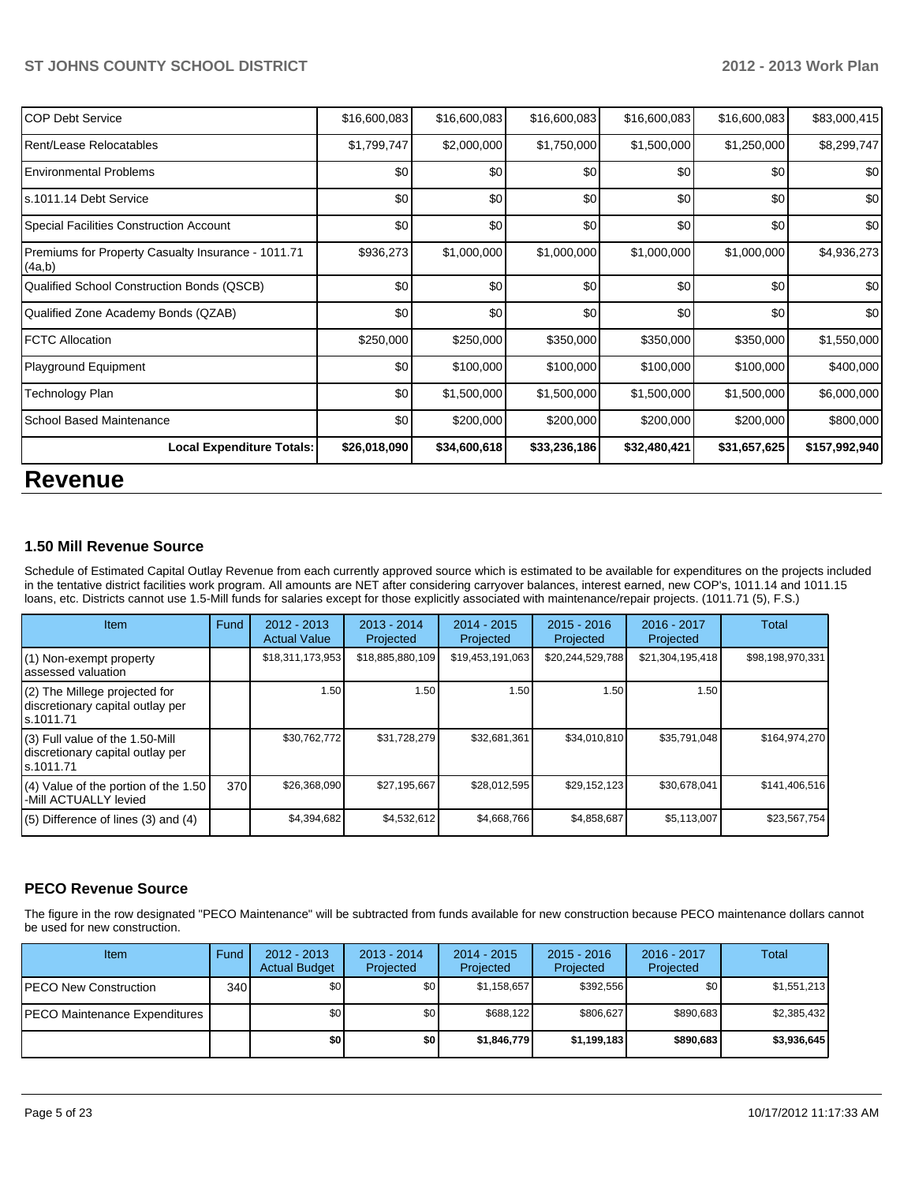| ICOP Debt Service                                            | \$16,600,083 | \$16,600,083 | \$16,600,083 | \$16,600,083 | \$16,600,083 | \$83,000,415  |
|--------------------------------------------------------------|--------------|--------------|--------------|--------------|--------------|---------------|
| Rent/Lease Relocatables                                      | \$1,799,747  | \$2,000,000  | \$1,750,000  | \$1,500,000  | \$1,250,000  | \$8,299,747   |
| <b>IEnvironmental Problems</b>                               | \$0          | \$0          | \$0          | \$0          | \$0          | \$0           |
| ls.1011.14 Debt Service                                      | \$0          | \$0          | \$0          | \$0          | \$0          | \$0           |
| Special Facilities Construction Account                      | \$0          | \$0          | \$0          | \$0          | \$0          | \$0           |
| Premiums for Property Casualty Insurance - 1011.71<br>(4a,b) | \$936,273    | \$1,000,000  | \$1,000,000  | \$1,000,000  | \$1,000,000  | \$4,936,273   |
| Qualified School Construction Bonds (QSCB)                   | \$0          | \$0          | \$0          | \$0          | \$0          | \$0           |
| Qualified Zone Academy Bonds (QZAB)                          | \$0          | \$0          | \$0          | \$0          | \$0          | \$0           |
| <b>IFCTC Allocation</b>                                      | \$250,000    | \$250,000    | \$350,000    | \$350,000    | \$350,000    | \$1,550,000   |
| Playground Equipment                                         | \$0          | \$100,000    | \$100,000    | \$100,000    | \$100,000    | \$400,000     |
| Technology Plan                                              | \$0          | \$1,500,000  | \$1,500,000  | \$1,500,000  | \$1,500,000  | \$6,000,000   |
| l School Based Maintenance                                   | \$0          | \$200,000    | \$200,000    | \$200,000    | \$200,000    | \$800,000     |
| <b>Local Expenditure Totals:</b>                             | \$26,018,090 | \$34,600,618 | \$33,236,186 | \$32,480,421 | \$31,657,625 | \$157,992,940 |

# **Revenue**

#### **1.50 Mill Revenue Source**

Schedule of Estimated Capital Outlay Revenue from each currently approved source which is estimated to be available for expenditures on the projects included in the tentative district facilities work program. All amounts are NET after considering carryover balances, interest earned, new COP's, 1011.14 and 1011.15 loans, etc. Districts cannot use 1.5-Mill funds for salaries except for those explicitly associated with maintenance/repair projects. (1011.71 (5), F.S.)

| Item                                                                              | Fund | 2012 - 2013<br><b>Actual Value</b> | $2013 - 2014$<br>Projected | $2014 - 2015$<br>Projected | $2015 - 2016$<br>Projected | 2016 - 2017<br>Projected | Total            |
|-----------------------------------------------------------------------------------|------|------------------------------------|----------------------------|----------------------------|----------------------------|--------------------------|------------------|
| (1) Non-exempt property<br>lassessed valuation                                    |      | \$18,311,173,953                   | \$18,885,880,109           | \$19,453,191,063           | \$20,244,529,788           | \$21,304,195,418         | \$98,198,970,331 |
| $(2)$ The Millege projected for<br>discretionary capital outlay per<br>ls.1011.71 |      | 1.50                               | 1.50                       | 1.50                       | 1.50                       | 1.50                     |                  |
| (3) Full value of the 1.50-Mill<br>discretionary capital outlay per<br>ls.1011.71 |      | \$30,762,772                       | \$31,728,279               | \$32,681,361               | \$34,010,810               | \$35,791,048             | \$164,974,270    |
| (4) Value of the portion of the 1.50<br>-Mill ACTUALLY levied                     | 370  | \$26,368,090                       | \$27,195,667               | \$28,012,595               | \$29,152,123               | \$30,678,041             | \$141,406,516    |
| $(5)$ Difference of lines (3) and (4)                                             |      | \$4,394,682                        | \$4,532,612                | \$4,668,766                | \$4,858,687                | \$5,113,007              | \$23,567,754     |

#### **PECO Revenue Source**

The figure in the row designated "PECO Maintenance" will be subtracted from funds available for new construction because PECO maintenance dollars cannot be used for new construction.

| <b>Item</b>                           | Fund | $2012 - 2013$<br><b>Actual Budget</b> | $2013 - 2014$<br>Projected | $2014 - 2015$<br>Projected | $2015 - 2016$<br>Projected | $2016 - 2017$<br>Projected | Total       |
|---------------------------------------|------|---------------------------------------|----------------------------|----------------------------|----------------------------|----------------------------|-------------|
| IPECO New Construction                | 340  | \$O I                                 | \$0 <sub>1</sub>           | \$1,158,657                | \$392.556                  | \$0 <sub>1</sub>           | \$1,551,213 |
| <b>IPECO Maintenance Expenditures</b> |      | \$0                                   | \$0                        | \$688.122                  | \$806.627                  | \$890.683                  | \$2,385,432 |
|                                       |      | \$0 I                                 | \$0                        | \$1,846,779                | \$1,199,183                | \$890,683                  | \$3,936,645 |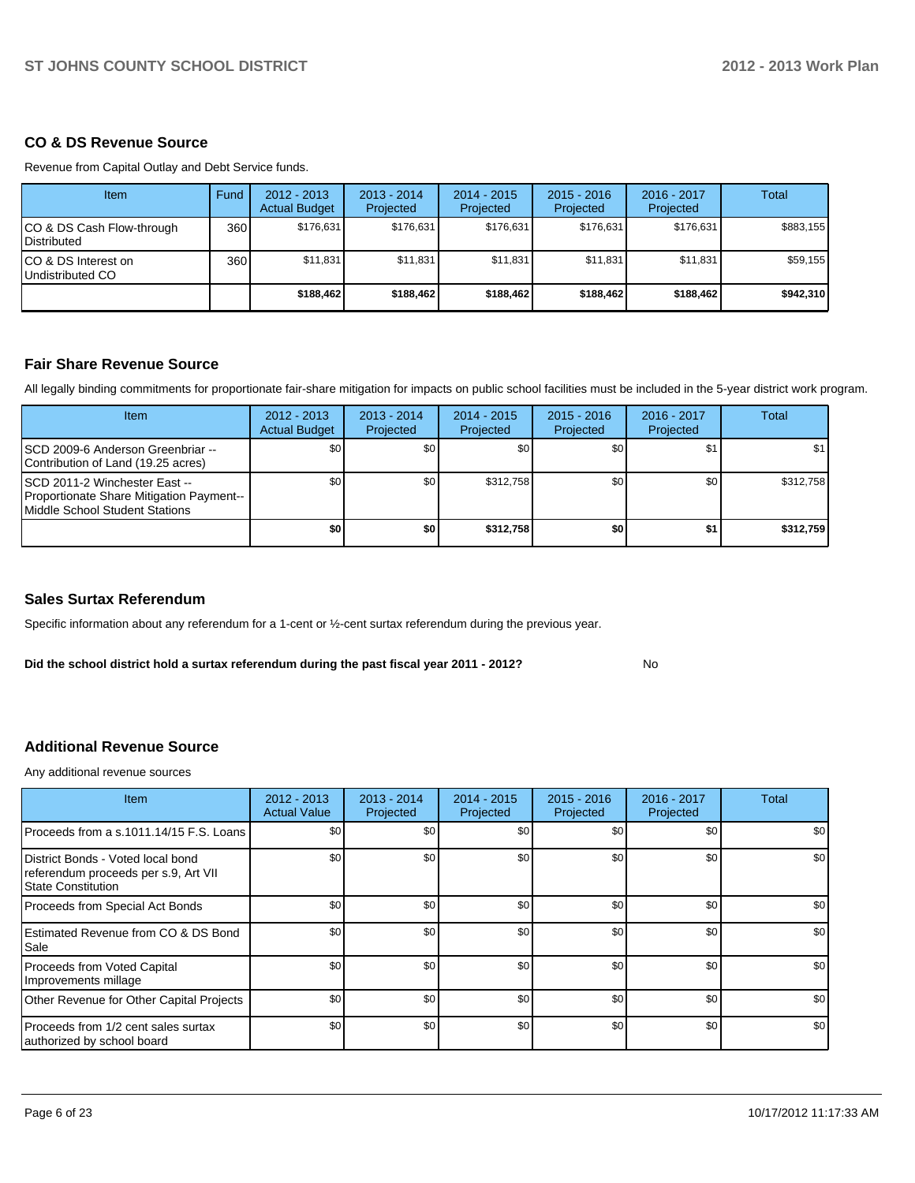#### **CO & DS Revenue Source**

Revenue from Capital Outlay and Debt Service funds.

| <b>Item</b>                                        | Fund | $2012 - 2013$<br><b>Actual Budget</b> | $2013 - 2014$<br>Projected | $2014 - 2015$<br>Projected | $2015 - 2016$<br>Projected | $2016 - 2017$<br>Projected | Total     |
|----------------------------------------------------|------|---------------------------------------|----------------------------|----------------------------|----------------------------|----------------------------|-----------|
| ICO & DS Cash Flow-through<br><b>I</b> Distributed | 360  | \$176.631                             | \$176,631                  | \$176.631                  | \$176.631                  | \$176,631                  | \$883,155 |
| ICO & DS Interest on<br>Undistributed CO           | 360  | \$11.831                              | \$11,831                   | \$11.831                   | \$11.831                   | \$11,831                   | \$59,155  |
|                                                    |      | \$188.462                             | \$188,462                  | \$188,462                  | \$188,462                  | \$188,462                  | \$942,310 |

#### **Fair Share Revenue Source**

All legally binding commitments for proportionate fair-share mitigation for impacts on public school facilities must be included in the 5-year district work program.

| Item                                                                                                         | $2012 - 2013$<br><b>Actual Budget</b> | $2013 - 2014$<br>Projected | $2014 - 2015$<br>Projected | $2015 - 2016$<br>Projected | $2016 - 2017$<br>Projected | Total     |
|--------------------------------------------------------------------------------------------------------------|---------------------------------------|----------------------------|----------------------------|----------------------------|----------------------------|-----------|
| ISCD 2009-6 Anderson Greenbriar --<br>Contribution of Land (19.25 acres)                                     | \$0                                   | \$0 <sub>1</sub>           | \$0                        | \$0                        | \$1                        | \$1       |
| ISCD 2011-2 Winchester East --<br>Proportionate Share Mitigation Payment--<br>Middle School Student Stations | \$0 <sub>1</sub>                      | \$0 <sub>1</sub>           | \$312.758                  | \$0                        | \$0 <sub>0</sub>           | \$312.758 |
|                                                                                                              | \$0                                   | \$0                        | \$312.758                  | \$0                        | \$1                        | \$312,759 |

#### **Sales Surtax Referendum**

Specific information about any referendum for a 1-cent or ½-cent surtax referendum during the previous year.

**Did the school district hold a surtax referendum during the past fiscal year 2011 - 2012?**

No

## **Additional Revenue Source**

Any additional revenue sources

| <b>Item</b>                                                                                            | $2012 - 2013$<br><b>Actual Value</b> | $2013 - 2014$<br>Projected | 2014 - 2015<br>Projected | $2015 - 2016$<br>Projected | 2016 - 2017<br>Projected | Total            |
|--------------------------------------------------------------------------------------------------------|--------------------------------------|----------------------------|--------------------------|----------------------------|--------------------------|------------------|
| Proceeds from a s.1011.14/15 F.S. Loans                                                                | \$0                                  | \$0                        | \$0                      | \$0                        | \$0                      | \$0              |
| District Bonds - Voted local bond<br>referendum proceeds per s.9, Art VII<br><b>State Constitution</b> | \$0                                  | \$0                        | \$0                      | \$0                        | \$0                      | \$0              |
| Proceeds from Special Act Bonds                                                                        | \$0                                  | \$0                        | \$0                      | \$0                        | \$0                      | \$0              |
| Estimated Revenue from CO & DS Bond<br>Sale                                                            | \$0                                  | \$0                        | \$0                      | \$0                        | \$0                      | \$0 <sub>1</sub> |
| <b>Proceeds from Voted Capital</b><br>Improvements millage                                             | \$0                                  | \$0                        | \$0                      | \$0                        | \$0                      | \$0              |
| Other Revenue for Other Capital Projects                                                               | \$0                                  | \$0                        | \$0                      | \$0                        | \$0                      | \$0              |
| Proceeds from 1/2 cent sales surtax<br>authorized by school board                                      | \$0                                  | \$0                        | \$0                      | \$0                        | \$0                      | \$0              |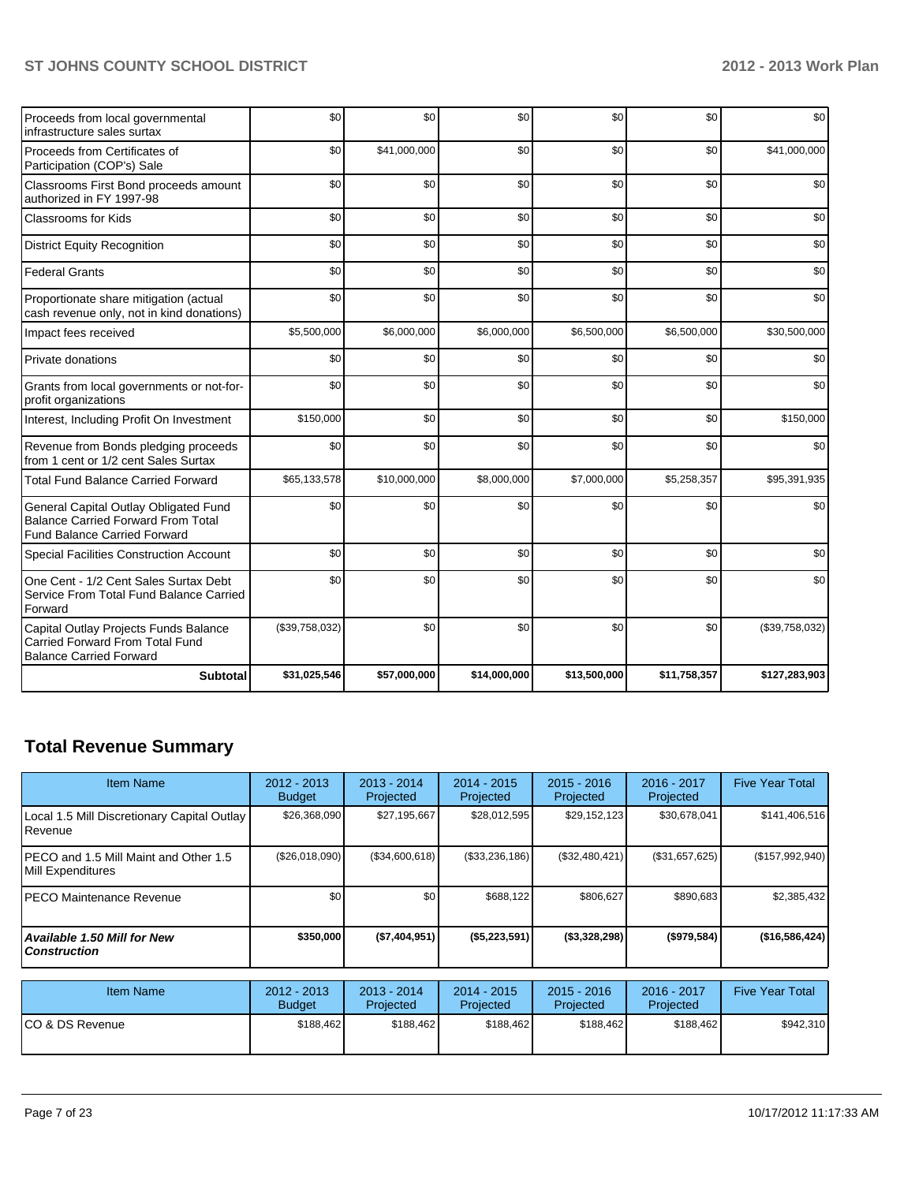| Proceeds from local governmental<br>infrastructure sales surtax                                                           | \$0            | \$0          | \$0          | \$0          | \$0          | \$0            |
|---------------------------------------------------------------------------------------------------------------------------|----------------|--------------|--------------|--------------|--------------|----------------|
| Proceeds from Certificates of<br>Participation (COP's) Sale                                                               | \$0            | \$41,000,000 | \$0          | \$0          | \$0          | \$41,000,000   |
| Classrooms First Bond proceeds amount<br>authorized in FY 1997-98                                                         | \$0            | \$0          | \$0          | \$0          | \$0          | \$0            |
| <b>Classrooms for Kids</b>                                                                                                | \$0            | \$0          | \$0          | \$0          | \$0          | \$0            |
| <b>District Equity Recognition</b>                                                                                        | \$0            | \$0          | \$0          | \$0          | \$0          | \$0            |
| <b>Federal Grants</b>                                                                                                     | \$0            | \$0          | \$0          | \$0          | \$0          | \$0            |
| Proportionate share mitigation (actual<br>cash revenue only, not in kind donations)                                       | \$0            | \$0          | \$0          | \$0          | \$0          | \$0            |
| Impact fees received                                                                                                      | \$5,500,000    | \$6,000,000  | \$6,000,000  | \$6,500,000  | \$6,500,000  | \$30,500,000   |
| Private donations                                                                                                         | \$0            | \$0          | \$0          | \$0          | \$0          | \$0            |
| Grants from local governments or not-for-<br>profit organizations                                                         | \$0            | \$0          | \$0          | \$0          | \$0          | \$0            |
| Interest, Including Profit On Investment                                                                                  | \$150,000      | \$0          | \$0          | \$0          | \$0          | \$150,000      |
| Revenue from Bonds pledging proceeds<br>from 1 cent or 1/2 cent Sales Surtax                                              | \$0            | \$0          | \$0          | \$0          | \$0          | \$0            |
| <b>Total Fund Balance Carried Forward</b>                                                                                 | \$65,133,578   | \$10,000,000 | \$8,000,000  | \$7,000,000  | \$5,258,357  | \$95,391,935   |
| General Capital Outlay Obligated Fund<br><b>Balance Carried Forward From Total</b><br><b>Fund Balance Carried Forward</b> | \$0            | \$0          | \$0          | \$0          | \$0          | \$0            |
| Special Facilities Construction Account                                                                                   | \$0            | \$0          | \$0          | \$0          | \$0          | \$0            |
| One Cent - 1/2 Cent Sales Surtax Debt<br>Service From Total Fund Balance Carried<br>Forward                               | \$0            | \$0          | \$0          | \$0          | \$0          | \$0            |
| Capital Outlay Projects Funds Balance<br>Carried Forward From Total Fund<br><b>Balance Carried Forward</b>                | (\$39,758,032) | \$0          | \$0          | \$0          | \$0          | (\$39,758,032) |
| <b>Subtotal</b>                                                                                                           | \$31,025,546   | \$57,000,000 | \$14,000,000 | \$13,500,000 | \$11,758,357 | \$127,283,903  |

# **Total Revenue Summary**

| <b>Item Name</b>                                                   | $2012 - 2013$<br><b>Budget</b> | $2013 - 2014$<br>Projected | $2014 - 2015$<br>Projected | $2015 - 2016$<br>Projected | 2016 - 2017<br>Projected | <b>Five Year Total</b> |
|--------------------------------------------------------------------|--------------------------------|----------------------------|----------------------------|----------------------------|--------------------------|------------------------|
| Local 1.5 Mill Discretionary Capital Outlay<br><b>I</b> Revenue    | \$26,368,090                   | \$27,195,667               | \$28,012,595               | \$29,152,123               | \$30,678,041             | \$141,406,516          |
| <b>IPECO</b> and 1.5 Mill Maint and Other 1.5<br>Mill Expenditures | (\$26,018,090)                 | (\$34,600,618)             | (\$33,236,186)             | (\$32,480,421)             | (\$31,657,625)           | (\$157,992,940)        |
| IPECO Maintenance Revenue                                          | \$0                            | \$0                        | \$688.122                  | \$806,627                  | \$890.683                | \$2,385,432            |
| Available 1.50 Mill for New \,<br>l Construction                   | \$350,000                      | (S7,404,951)               | (\$5,223,591)              | $($ \$3,328,298)           | $($ \$979,584)           | (\$16,586,424)         |

| Item Name        | 2012 - 2013<br><b>Budget</b> | $2013 - 2014$<br>Projected | 2014 - 2015<br>Projected | $2015 - 2016$<br>Projected | 2016 - 2017<br>Projected | <b>Five Year Total</b> |
|------------------|------------------------------|----------------------------|--------------------------|----------------------------|--------------------------|------------------------|
| ICO & DS Revenue | \$188.462                    | \$188.462                  | \$188.462                | \$188.462                  | \$188.462                | \$942.310              |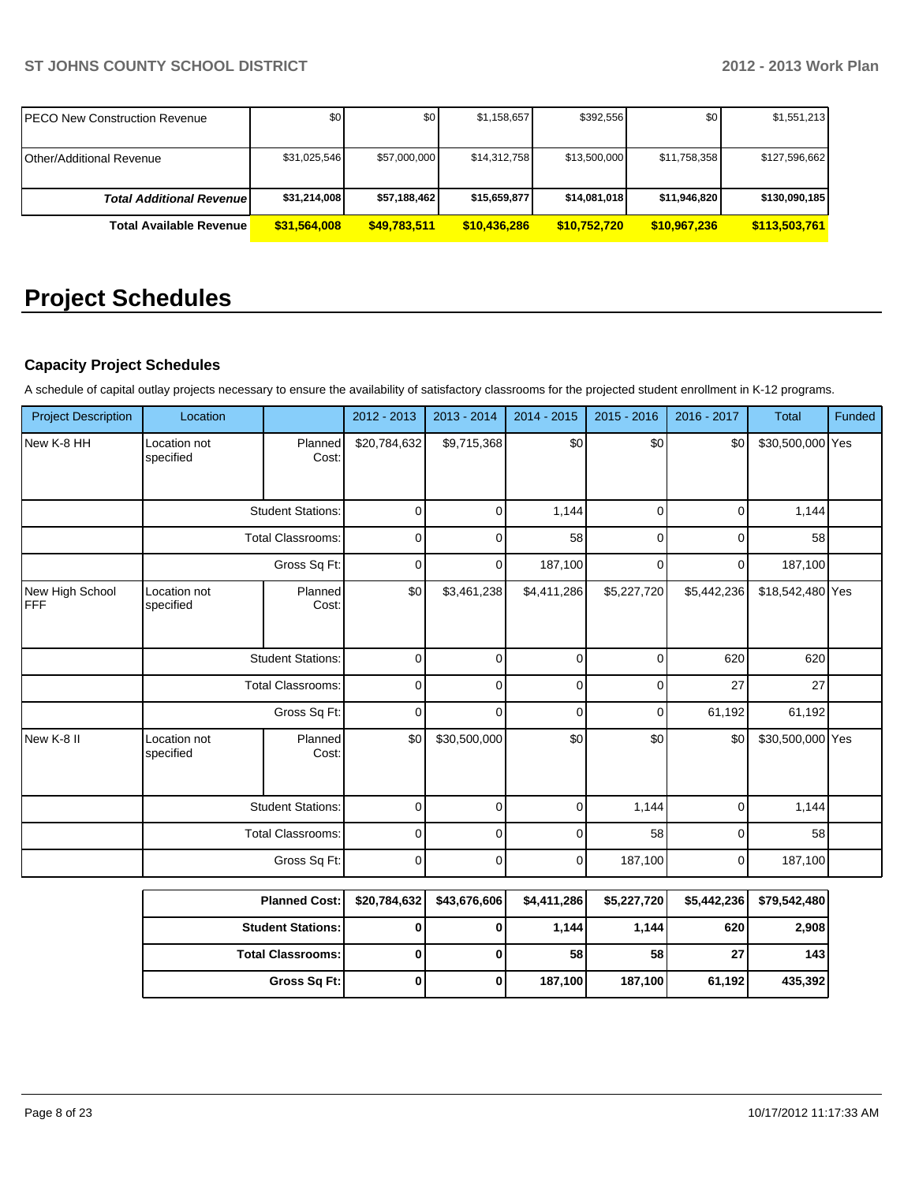| <b>PECO New Construction Revenue</b> | \$0          | \$0 <sub>1</sub> | \$1,158,657  | \$392,556    | \$0          | \$1,551,213   |
|--------------------------------------|--------------|------------------|--------------|--------------|--------------|---------------|
|                                      |              |                  |              |              |              |               |
| Other/Additional Revenue             | \$31,025,546 | \$57,000,000     | \$14,312,758 | \$13,500,000 | \$11,758,358 | \$127,596,662 |
| <b>Total Additional Revenuel</b>     | \$31,214,008 | \$57,188,462     | \$15,659,877 | \$14,081,018 | \$11,946,820 | \$130,090,185 |
| <b>Total Available Revenue</b>       | \$31,564,008 | \$49.783.511     | \$10.436.286 | \$10,752,720 | \$10,967,236 | \$113,503,761 |

# **Project Schedules**

# **Capacity Project Schedules**

A schedule of capital outlay projects necessary to ensure the availability of satisfactory classrooms for the projected student enrollment in K-12 programs.

| <b>Project Description</b> | Location                                      |                          | 2012 - 2013  | 2013 - 2014  | 2014 - 2015 | 2015 - 2016  | 2016 - 2017 | <b>Total</b>     | Funded |
|----------------------------|-----------------------------------------------|--------------------------|--------------|--------------|-------------|--------------|-------------|------------------|--------|
| New K-8 HH                 | Location not<br>specified                     | Planned<br>Cost:         | \$20,784,632 | \$9,715,368  | \$0         | \$0          | \$0         | \$30,500,000 Yes |        |
|                            |                                               | <b>Student Stations:</b> | 0            | $\Omega$     | 1,144       | $\mathbf{0}$ | $\Omega$    | 1,144            |        |
|                            |                                               | <b>Total Classrooms:</b> | 0            | 0            | 58          | 0            | 0           | 58               |        |
|                            |                                               | Gross Sq Ft:             | 0            | 0            | 187,100     | 0            | 0           | 187,100          |        |
| New High School<br>FFF     | Location not<br>Planned<br>specified<br>Cost: |                          | \$0          | \$3,461,238  | \$4,411,286 | \$5,227,720  | \$5,442,236 | \$18,542,480 Yes |        |
|                            | <b>Student Stations:</b>                      |                          | 0            | 0            | 0           | 0            | 620         | 620              |        |
|                            | <b>Total Classrooms:</b>                      |                          | 0            | $\Omega$     | 0           | 0            | 27          | 27               |        |
|                            |                                               | Gross Sq Ft:             | 0            | 0            | 0           | 0            | 61,192      | 61,192           |        |
| New K-8 II                 | Location not<br>specified                     | Planned<br>Cost:         | \$0          | \$30,500,000 | \$0         | \$0          | \$0         | \$30,500,000 Yes |        |
|                            |                                               | <b>Student Stations:</b> | 0            | $\Omega$     | 0           | 1,144        | 0           | 1,144            |        |
|                            |                                               | <b>Total Classrooms:</b> | 0            | 0            | 0           | 58           | 0           | 58               |        |
|                            |                                               | Gross Sq Ft:             | 0            | 0            | 0           | 187,100      | 0           | 187,100          |        |
|                            |                                               | <b>Planned Cost:</b>     | \$20,784,632 | \$43,676,606 | \$4,411,286 | \$5,227,720  | \$5,442,236 | \$79,542,480     |        |
|                            | <b>Student Stations:</b>                      |                          | 0            | 0            | 1,144       | 1,144        | 620         | 2,908            |        |
|                            |                                               | <b>Total Classrooms:</b> | 0            | 0            | 58          | 58           | 27          | 143              |        |
|                            |                                               | Gross Sq Ft:             | 0            | 0            | 187,100     | 187,100      | 61,192      | 435,392          |        |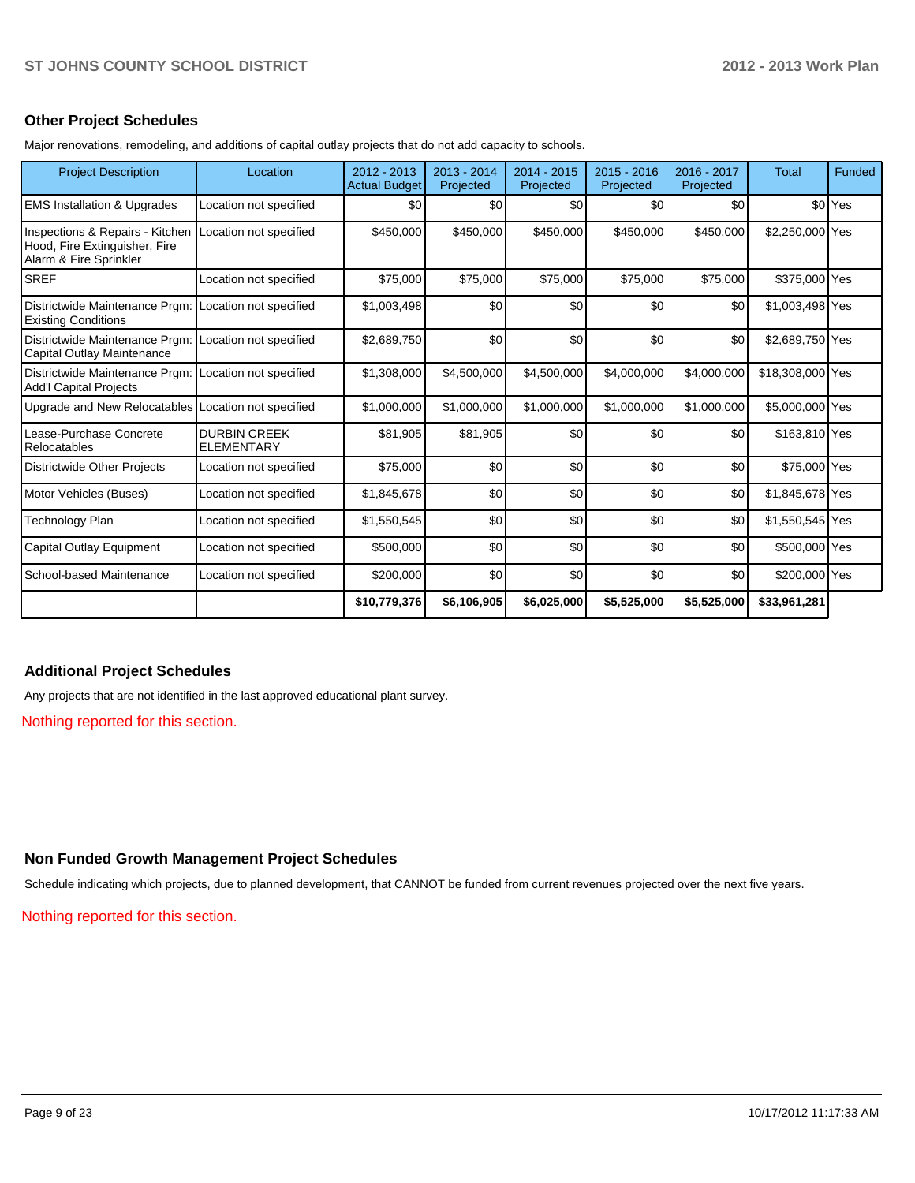#### **Other Project Schedules**

Major renovations, remodeling, and additions of capital outlay projects that do not add capacity to schools.

| <b>Project Description</b>                                                                 | Location                                 | $2012 - 2013$<br><b>Actual Budget</b> | $2013 - 2014$<br>Projected | $2014 - 2015$<br>Projected | $2015 - 2016$<br>Projected | 2016 - 2017<br>Projected | <b>Total</b>     | Funded             |
|--------------------------------------------------------------------------------------------|------------------------------------------|---------------------------------------|----------------------------|----------------------------|----------------------------|--------------------------|------------------|--------------------|
| <b>EMS Installation &amp; Upgrades</b>                                                     | Location not specified                   | \$0                                   | \$0                        | \$0                        | \$0                        | \$0                      |                  | \$0 <sup>Yes</sup> |
| Inspections & Repairs - Kitchen<br>Hood, Fire Extinguisher, Fire<br>Alarm & Fire Sprinkler | Location not specified                   | \$450,000                             | \$450,000                  | \$450,000                  | \$450,000                  | \$450,000                | \$2,250,000 Yes  |                    |
| <b>SREF</b>                                                                                | Location not specified                   | \$75,000                              | \$75,000                   | \$75,000                   | \$75,000                   | \$75,000                 | \$375,000 Yes    |                    |
| Districtwide Maintenance Prgm:<br><b>Existing Conditions</b>                               | Location not specified                   | \$1,003,498                           | \$0                        | \$0                        | \$0                        | \$0                      | \$1,003,498 Yes  |                    |
| Districtwide Maintenance Prgm: Location not specified<br>Capital Outlay Maintenance        |                                          | \$2,689,750                           | \$0                        | \$0                        | \$0                        | \$0                      | \$2,689,750 Yes  |                    |
| Districtwide Maintenance Prgm:<br><b>Add'I Capital Projects</b>                            | Location not specified                   | \$1,308,000                           | \$4,500,000                | \$4,500,000                | \$4,000,000                | \$4,000,000              | \$18,308,000 Yes |                    |
| Upgrade and New Relocatables                                                               | Location not specified                   | \$1,000,000                           | \$1,000,000                | \$1,000,000                | \$1,000,000                | \$1,000,000              | \$5,000,000 Yes  |                    |
| Lease-Purchase Concrete<br>Relocatables                                                    | <b>DURBIN CREEK</b><br><b>ELEMENTARY</b> | \$81,905                              | \$81,905                   | \$0                        | \$0                        | \$0                      | \$163,810 Yes    |                    |
| <b>Districtwide Other Projects</b>                                                         | Location not specified                   | \$75,000                              | \$0                        | \$0                        | \$0                        | \$0                      | \$75,000 Yes     |                    |
| Motor Vehicles (Buses)                                                                     | Location not specified                   | \$1,845,678                           | \$0                        | \$0                        | \$0                        | \$0                      | \$1,845,678 Yes  |                    |
| Technology Plan                                                                            | Location not specified                   | \$1,550,545                           | \$0                        | \$0                        | \$0                        | \$0                      | \$1,550,545 Yes  |                    |
| Capital Outlay Equipment                                                                   | Location not specified                   | \$500,000                             | \$0                        | \$0                        | \$0                        | \$0                      | \$500,000 Yes    |                    |
| School-based Maintenance                                                                   | Location not specified                   | \$200,000                             | \$0                        | \$0                        | \$0                        | \$0                      | \$200,000 Yes    |                    |
|                                                                                            |                                          | \$10,779,376                          | \$6,106,905                | \$6,025,000                | \$5,525,000                | \$5,525,000              | \$33,961,281     |                    |

## **Additional Project Schedules**

Any projects that are not identified in the last approved educational plant survey.

Nothing reported for this section.

#### **Non Funded Growth Management Project Schedules**

Schedule indicating which projects, due to planned development, that CANNOT be funded from current revenues projected over the next five years.

Nothing reported for this section.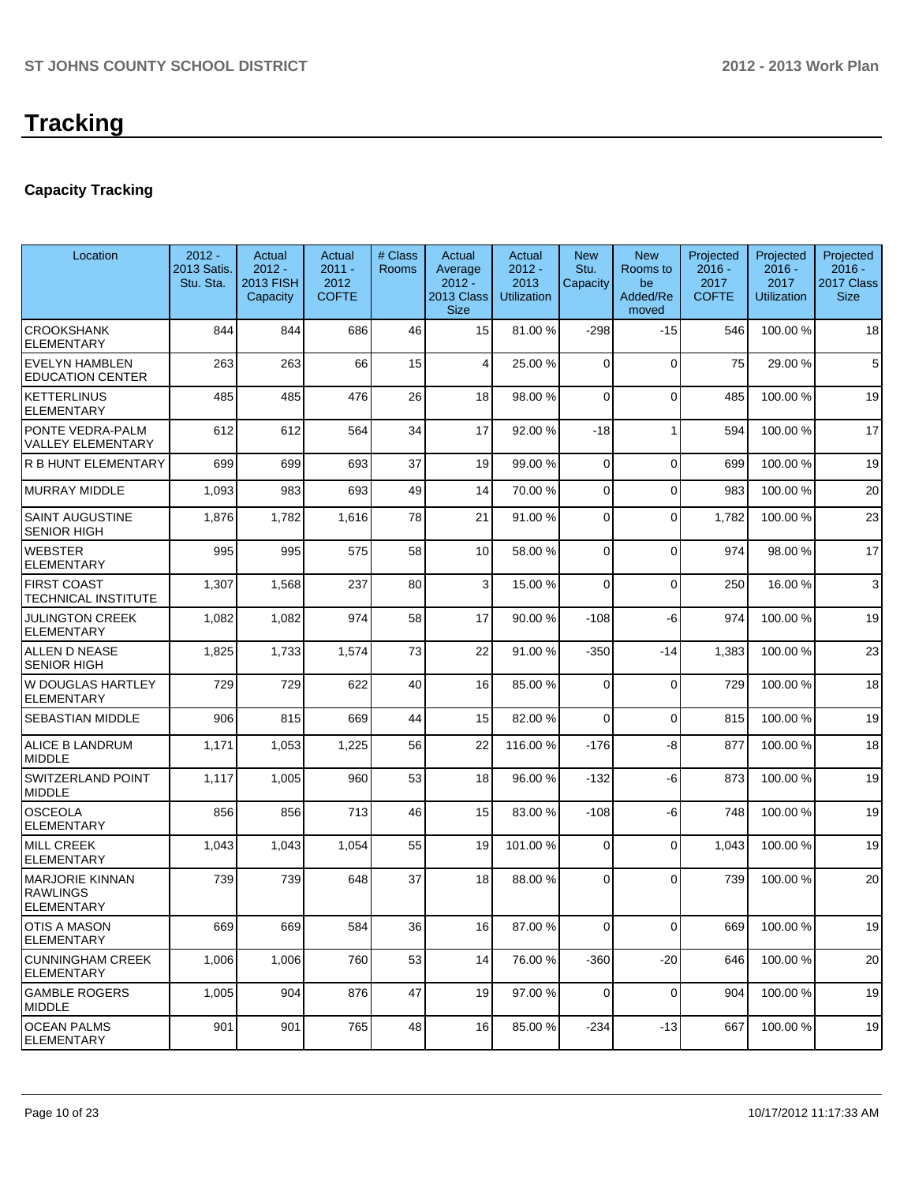# **Capacity Tracking**

| Location                                                       | $2012 -$<br>2013 Satis.<br>Stu. Sta. | Actual<br>$2012 -$<br><b>2013 FISH</b><br>Capacity | Actual<br>$2011 -$<br>2012<br><b>COFTE</b> | # Class<br><b>Rooms</b> | Actual<br>Average<br>$2012 -$<br>2013 Class<br><b>Size</b> | Actual<br>$2012 -$<br>2013<br><b>Utilization</b> | <b>New</b><br>Stu.<br>Capacity | <b>New</b><br>Rooms to<br>be<br>Added/Re<br>moved | Projected<br>$2016 -$<br>2017<br><b>COFTE</b> | Projected<br>$2016 -$<br>2017<br><b>Utilization</b> | Projected<br>$2016 -$<br>2017 Class<br><b>Size</b> |
|----------------------------------------------------------------|--------------------------------------|----------------------------------------------------|--------------------------------------------|-------------------------|------------------------------------------------------------|--------------------------------------------------|--------------------------------|---------------------------------------------------|-----------------------------------------------|-----------------------------------------------------|----------------------------------------------------|
| <b>CROOKSHANK</b><br><b>ELEMENTARY</b>                         | 844                                  | 844                                                | 686                                        | 46                      | 15                                                         | 81.00 %                                          | $-298$                         | $-15$                                             | 546                                           | 100.00%                                             | 18                                                 |
| <b>EVELYN HAMBLEN</b><br><b>EDUCATION CENTER</b>               | 263                                  | 263                                                | 66                                         | 15                      | 4                                                          | 25.00 %                                          | $\Omega$                       | $\Omega$                                          | 75                                            | 29.00 %                                             | 5                                                  |
| <b>KETTERLINUS</b><br>ELEMENTARY                               | 485                                  | 485                                                | 476                                        | 26                      | 18                                                         | 98.00 %                                          | $\Omega$                       | $\Omega$                                          | 485                                           | 100.00%                                             | 19                                                 |
| PONTE VEDRA-PALM<br><b>VALLEY ELEMENTARY</b>                   | 612                                  | 612                                                | 564                                        | 34                      | 17                                                         | 92.00 %                                          | $-18$                          | 1                                                 | 594                                           | 100.00%                                             | 17                                                 |
| <b>R B HUNT ELEMENTARY</b>                                     | 699                                  | 699                                                | 693                                        | 37                      | 19                                                         | 99.00 %                                          | $\Omega$                       | $\Omega$                                          | 699                                           | 100.00%                                             | 19                                                 |
| <b>MURRAY MIDDLE</b>                                           | 1,093                                | 983                                                | 693                                        | 49                      | 14                                                         | 70.00 %                                          | 0                              | $\Omega$                                          | 983                                           | 100.00%                                             | 20                                                 |
| <b>SAINT AUGUSTINE</b><br><b>SENIOR HIGH</b>                   | 1,876                                | 1,782                                              | 1,616                                      | 78                      | 21                                                         | 91.00 %                                          | $\Omega$                       | $\Omega$                                          | 1,782                                         | 100.00%                                             | 23                                                 |
| <b>WEBSTER</b><br><b>ELEMENTARY</b>                            | 995                                  | 995                                                | 575                                        | 58                      | 10                                                         | 58.00 %                                          | $\Omega$                       | $\Omega$                                          | 974                                           | 98.00 %                                             | 17                                                 |
| <b>FIRST COAST</b><br>TECHNICAL INSTITUTE                      | 1,307                                | 1,568                                              | 237                                        | 80                      | 3                                                          | 15.00 %                                          | $\Omega$                       | $\Omega$                                          | 250                                           | 16.00 %                                             | 3                                                  |
| <b>JULINGTON CREEK</b><br>ELEMENTARY                           | 1,082                                | 1,082                                              | 974                                        | 58                      | 17                                                         | 90.00 %                                          | $-108$                         | -6                                                | 974                                           | 100.00%                                             | 19                                                 |
| ALLEN D NEASE<br><b>SENIOR HIGH</b>                            | 1,825                                | 1,733                                              | 1,574                                      | 73                      | 22                                                         | 91.00 %                                          | $-350$                         | $-14$                                             | 1,383                                         | 100.00%                                             | 23                                                 |
| W DOUGLAS HARTLEY<br><b>ELEMENTARY</b>                         | 729                                  | 729                                                | 622                                        | 40                      | 16                                                         | 85.00 %                                          | 0                              | $\Omega$                                          | 729                                           | 100.00%                                             | 18                                                 |
| SEBASTIAN MIDDLE                                               | 906                                  | 815                                                | 669                                        | 44                      | 15                                                         | 82.00 %                                          | $\Omega$                       | $\Omega$                                          | 815                                           | 100.00%                                             | 19                                                 |
| ALICE B LANDRUM<br><b>MIDDLE</b>                               | 1,171                                | 1,053                                              | 1,225                                      | 56                      | 22                                                         | 116.00%                                          | $-176$                         | -8                                                | 877                                           | 100.00%                                             | 18                                                 |
| SWITZERLAND POINT<br><b>MIDDLE</b>                             | 1,117                                | 1,005                                              | 960                                        | 53                      | 18                                                         | 96.00 %                                          | $-132$                         | $-6$                                              | 873                                           | 100.00%                                             | 19                                                 |
| <b>OSCEOLA</b><br><b>ELEMENTARY</b>                            | 856                                  | 856                                                | 713                                        | 46                      | 15                                                         | 83.00 %                                          | $-108$                         | -6                                                | 748                                           | 100.00%                                             | 19                                                 |
| <b>MILL CREEK</b><br><b>ELEMENTARY</b>                         | 1,043                                | 1,043                                              | 1,054                                      | 55                      | 19                                                         | 101.00%                                          | 0                              | $\Omega$                                          | 1,043                                         | 100.00%                                             | 19                                                 |
| <b>MARJORIE KINNAN</b><br><b>RAWLINGS</b><br><b>ELEMENTARY</b> | 739                                  | 739                                                | 648                                        | 37                      | 18                                                         | 88.00 %                                          | $\Omega$                       | $\Omega$                                          | 739                                           | 100.00%                                             | 20                                                 |
| <b>OTIS A MASON</b><br>ELEMENTARY                              | 669                                  | 669                                                | 584                                        | 36                      | 16                                                         | 87.00 %                                          | 0                              | 0                                                 | 669                                           | 100.00 %                                            | 19                                                 |
| <b>CUNNINGHAM CREEK</b><br><b>ELEMENTARY</b>                   | 1,006                                | 1,006                                              | 760                                        | 53                      | 14                                                         | 76.00 %                                          | $-360$                         | $-20$                                             | 646                                           | 100.00%                                             | 20                                                 |
| <b>GAMBLE ROGERS</b><br><b>MIDDLE</b>                          | 1,005                                | 904                                                | 876                                        | 47                      | 19                                                         | 97.00 %                                          | $\overline{0}$                 | 0                                                 | 904                                           | 100.00 %                                            | 19                                                 |
| <b>OCEAN PALMS</b><br>ELEMENTARY                               | 901                                  | 901                                                | 765                                        | 48                      | 16                                                         | 85.00 %                                          | $-234$                         | $-13$                                             | 667                                           | 100.00%                                             | 19                                                 |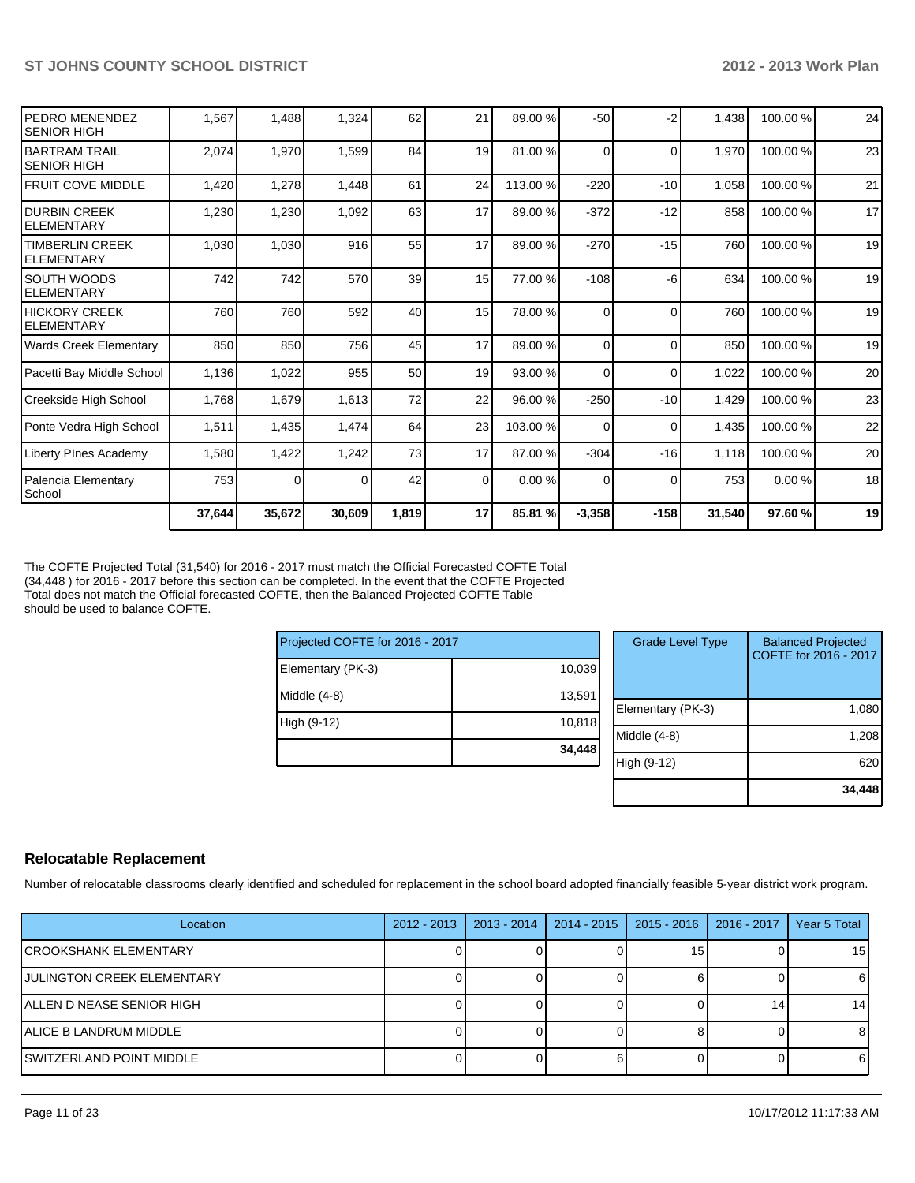| <b>PEDRO MENENDEZ</b><br><b>SENIOR HIGH</b>  | 1,567  | 1,488    | 1,324  | 62    | 21       | 89.00 %  | $-50$    | -2       | 1,438  | 100.00%  | 24 |
|----------------------------------------------|--------|----------|--------|-------|----------|----------|----------|----------|--------|----------|----|
| IBARTRAM TRAIL<br><b>SENIOR HIGH</b>         | 2,074  | 1,970    | 1,599  | 84    | 19       | 81.00 %  | 0        | $\Omega$ | 1,970  | 100.00%  | 23 |
| <b>FRUIT COVE MIDDLE</b>                     | 1,420  | 1,278    | 1,448  | 61    | 24       | 113.00 % | $-220$   | $-10$    | 1,058  | 100.00%  | 21 |
| IDURBIN CREEK<br><b>IELEMENTARY</b>          | 1,230  | 1,230    | 1,092  | 63    | 17       | 89.00 %  | $-372$   | $-12$    | 858    | 100.00 % | 17 |
| <b>ITIMBERLIN CREEK</b><br><b>ELEMENTARY</b> | 1,030  | 1,030    | 916    | 55    | 17       | 89.00 %  | $-270$   | $-15$    | 760    | 100.00%  | 19 |
| ISOUTH WOODS<br>IELEMENTARY                  | 742    | 742      | 570    | 39    | 15       | 77.00 %  | $-108$   | -6       | 634    | 100.00%  | 19 |
| IHICKORY CREEK<br>IELEMENTARY                | 760    | 760      | 592    | 40    | 15       | 78.00 %  | $\Omega$ | $\Omega$ | 760    | 100.00%  | 19 |
| Wards Creek Elementary                       | 850    | 850      | 756    | 45    | 17       | 89.00 %  | $\Omega$ | $\Omega$ | 850    | 100.00%  | 19 |
| Pacetti Bay Middle School                    | 1,136  | 1,022    | 955    | 50    | 19       | 93.00 %  | $\Omega$ | $\Omega$ | 1,022  | 100.00%  | 20 |
| Creekside High School                        | 1,768  | 1,679    | 1,613  | 72    | 22       | 96.00 %  | $-250$   | $-10$    | 1,429  | 100.00 % | 23 |
| Ponte Vedra High School                      | 1,511  | 1,435    | 1,474  | 64    | 23       | 103.00 % | $\Omega$ | $\Omega$ | 1,435  | 100.00%  | 22 |
| Liberty PInes Academy                        | 1,580  | 1,422    | 1,242  | 73    | 17       | 87.00 %  | $-304$   | $-16$    | 1,118  | 100.00%  | 20 |
| Palencia Elementary<br>School                | 753    | $\Omega$ | 0      | 42    | $\Omega$ | 0.00 %   | $\Omega$ | $\Omega$ | 753    | 0.00%    | 18 |
|                                              | 37,644 | 35,672   | 30,609 | 1,819 | 17       | 85.81 %  | $-3,358$ | $-158$   | 31,540 | 97.60%   | 19 |

The COFTE Projected Total (31,540) for 2016 - 2017 must match the Official Forecasted COFTE Total (34,448 ) for 2016 - 2017 before this section can be completed. In the event that the COFTE Projected Total does not match the Official forecasted COFTE, then the Balanced Projected COFTE Table should be used to balance COFTE.

| Projected COFTE for 2016 - 2017 |        |  |  |  |  |  |
|---------------------------------|--------|--|--|--|--|--|
| Elementary (PK-3)               | 10,039 |  |  |  |  |  |
| Middle (4-8)                    | 13,591 |  |  |  |  |  |
| High (9-12)                     | 10,818 |  |  |  |  |  |
|                                 | 34,448 |  |  |  |  |  |

| <b>Grade Level Type</b> | <b>Balanced Projected</b><br>COFTE for 2016 - 2017 |
|-------------------------|----------------------------------------------------|
| Elementary (PK-3)       | 1,080                                              |
| Middle $(4-8)$          | 1,208                                              |
| High (9-12)             | 62                                                 |
|                         | 34,448                                             |

#### **Relocatable Replacement**

Number of relocatable classrooms clearly identified and scheduled for replacement in the school board adopted financially feasible 5-year district work program.

| Location                     | $2012 - 2013$ | 2013 - 2014 | 2014 - 2015 | 2015 - 2016 | 2016 - 2017 | Year 5 Total |
|------------------------------|---------------|-------------|-------------|-------------|-------------|--------------|
| <b>CROOKSHANK ELEMENTARY</b> |               |             |             | 15          |             | 15           |
| JULINGTON CREEK ELEMENTARY   |               |             |             |             |             |              |
| ALLEN D NEASE SENIOR HIGH    |               |             |             |             |             | 14           |
| ALICE B LANDRUM MIDDLE       |               |             |             |             |             |              |
| ISWITZERLAND POINT MIDDLE    |               |             |             |             |             |              |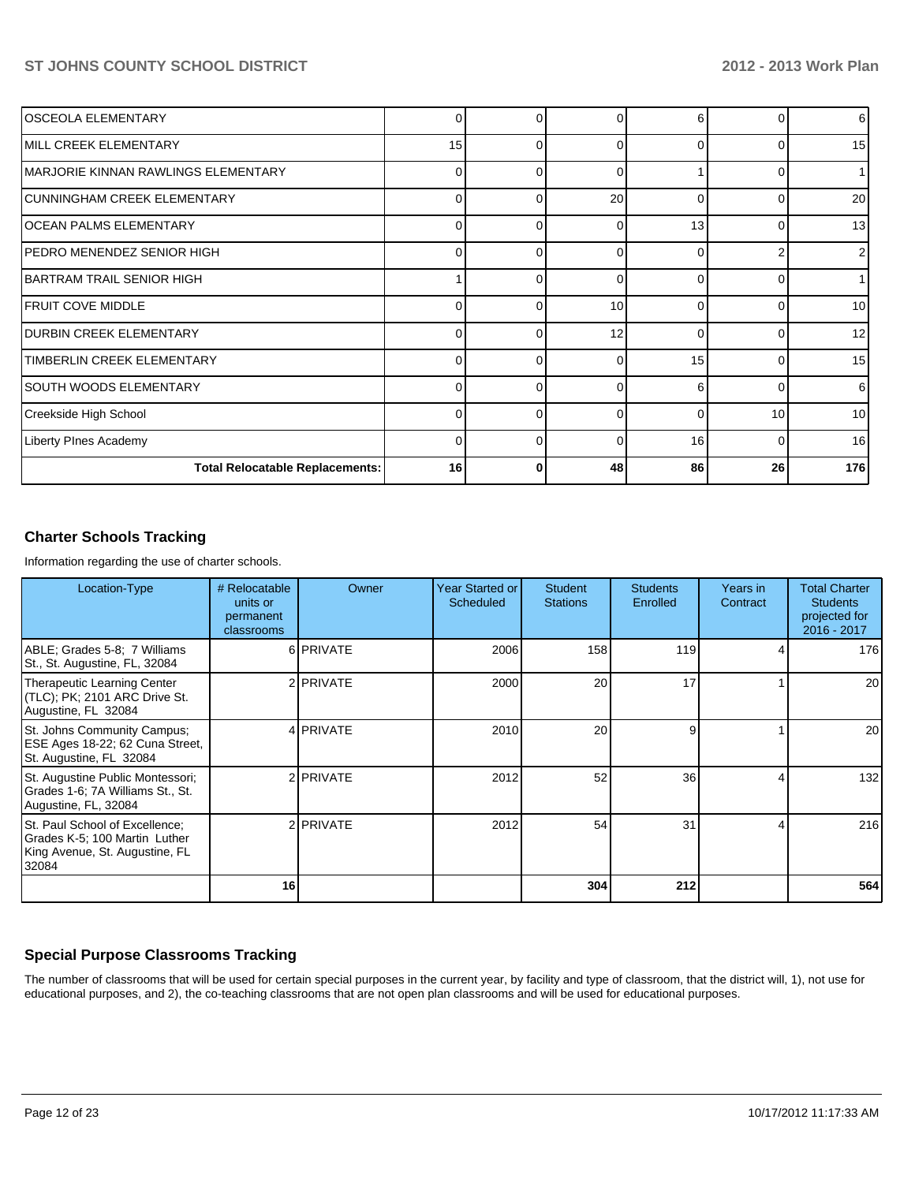| lOSCEOLA ELEMENTARY                    | 0        | o        |    | 6 I      |              | 6   |
|----------------------------------------|----------|----------|----|----------|--------------|-----|
| IMILL CREEK ELEMENTARY                 | 15       | 0        |    | $\Omega$ |              | 15  |
| MARJORIE KINNAN RAWLINGS ELEMENTARY    | $\Omega$ | U        | r  |          |              |     |
| ICUNNINGHAM CREEK ELEMENTARY           | $\Omega$ | 0        | 20 | $\Omega$ |              | 20  |
| IOCEAN PALMS ELEMENTARY                | $\Omega$ | 0        | C  | 13       | <sup>0</sup> | 13  |
| PEDRO MENENDEZ SENIOR HIGH             | $\Omega$ | $\Omega$ |    | 0        |              | 2   |
| IBARTRAM TRAIL SENIOR HIGH             |          | 0        | C  | $\Omega$ |              |     |
| <b>IFRUIT COVE MIDDLE</b>              | $\Omega$ | U        | 10 | $\Omega$ |              | 10  |
| <b>DURBIN CREEK ELEMENTARY</b>         | $\Omega$ | n        | 12 | $\Omega$ |              | 12  |
| <b>TIMBERLIN CREEK ELEMENTARY</b>      | $\Omega$ | $\Omega$ | ſ  | 15       |              | 15  |
| SOUTH WOODS ELEMENTARY                 | $\Omega$ | U        |    | 6        |              | 6   |
| Creekside High School                  | $\Omega$ | $\Omega$ | r  | $\Omega$ | 10           | 10  |
| Liberty PInes Academy                  | $\Omega$ | 0        | ſ  | 16       |              | 16  |
| <b>Total Relocatable Replacements:</b> | 16       |          | 48 | 86       | 26           | 176 |

## **Charter Schools Tracking**

Information regarding the use of charter schools.

| Location-Type                                                                                              | # Relocatable<br>units or<br>permanent<br>classrooms | Owner              | <b>Year Started or</b><br>Scheduled | <b>Student</b><br><b>Stations</b> | <b>Students</b><br>Enrolled | Years in<br>Contract | <b>Total Charter</b><br><b>Students</b><br>projected for<br>2016 - 2017 |
|------------------------------------------------------------------------------------------------------------|------------------------------------------------------|--------------------|-------------------------------------|-----------------------------------|-----------------------------|----------------------|-------------------------------------------------------------------------|
| ABLE; Grades 5-8; 7 Williams<br>St., St. Augustine, FL, 32084                                              |                                                      | 6 PRIVATE          | 2006                                | 158                               | 119                         | 4                    | 176                                                                     |
| Therapeutic Learning Center<br>(TLC); PK; 2101 ARC Drive St.<br>Augustine, FL 32084                        |                                                      | 2 PRIVATE          | 2000                                | 20                                | 17                          |                      | 20                                                                      |
| St. Johns Community Campus;<br>ESE Ages 18-22; 62 Cuna Street,<br>St. Augustine, FL 32084                  |                                                      | 4 <b>PRIVATE</b>   | 2010                                | 20                                | 9                           |                      | 20                                                                      |
| St. Augustine Public Montessori;<br>Grades 1-6; 7A Williams St., St.<br>Augustine, FL, 32084               |                                                      | 2 <b>I</b> PRIVATE | 2012                                | 52                                | 36 <sup>1</sup>             | 4                    | 132                                                                     |
| St. Paul School of Excellence;<br>Grades K-5; 100 Martin Luther<br>King Avenue, St. Augustine, FL<br>32084 |                                                      | 2 <b>I</b> PRIVATE | 2012                                | 54                                | 31                          | Δ                    | 216                                                                     |
|                                                                                                            | 16                                                   |                    |                                     | 304                               | 212                         |                      | 564                                                                     |

## **Special Purpose Classrooms Tracking**

The number of classrooms that will be used for certain special purposes in the current year, by facility and type of classroom, that the district will, 1), not use for educational purposes, and 2), the co-teaching classrooms that are not open plan classrooms and will be used for educational purposes.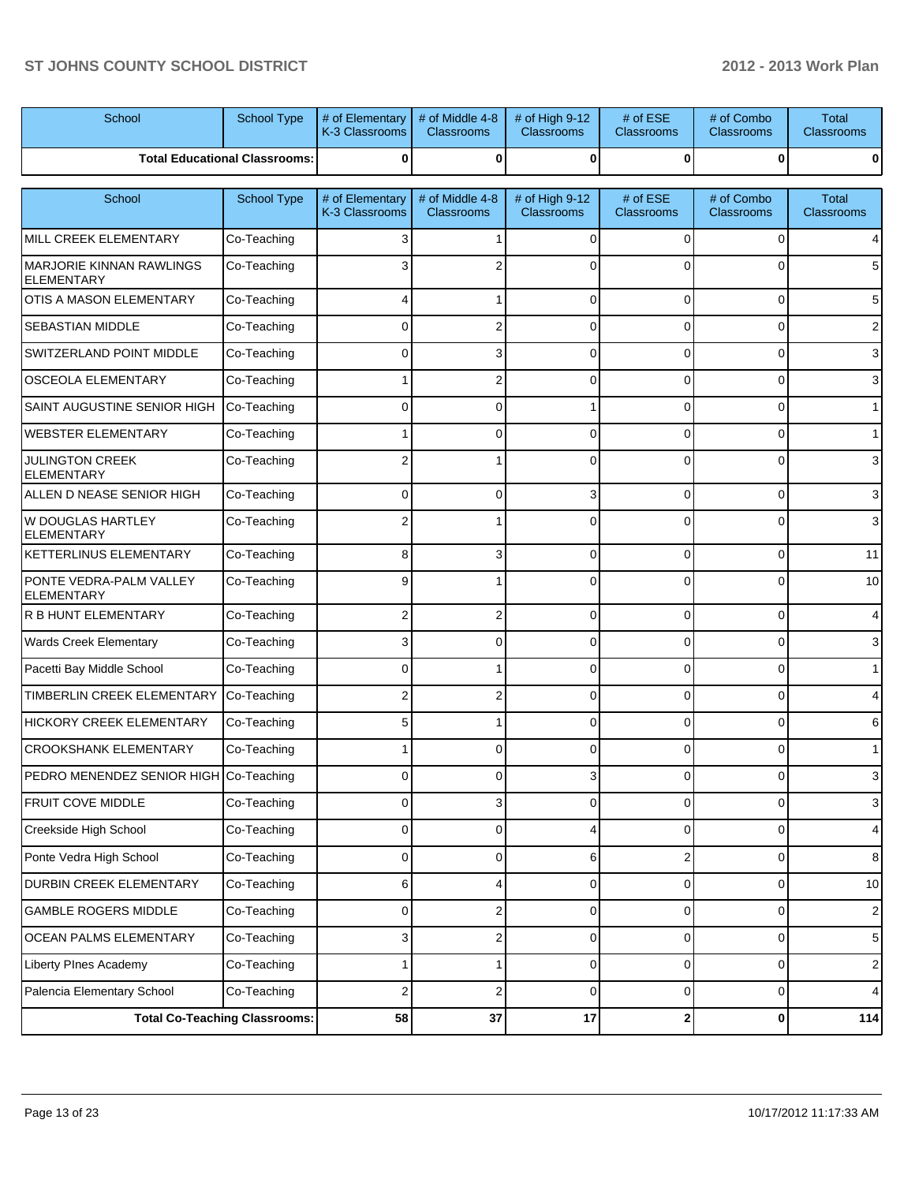| School                                               | School Type                          | # of Elementary<br>K-3 Classrooms | # of Middle 4-8<br>Classrooms        | # of High 9-12<br><b>Classrooms</b> | # of ESE<br>Classrooms        | # of Combo<br>Classrooms        | <b>Total</b><br>Classrooms |
|------------------------------------------------------|--------------------------------------|-----------------------------------|--------------------------------------|-------------------------------------|-------------------------------|---------------------------------|----------------------------|
|                                                      | <b>Total Educational Classrooms:</b> | 0                                 | $\bf{0}$                             | 0                                   | 0                             | 0                               | 0                          |
| School                                               | School Type                          | # of Elementary<br>K-3 Classrooms | # of Middle 4-8<br><b>Classrooms</b> | # of High 9-12<br><b>Classrooms</b> | # of ESE<br><b>Classrooms</b> | # of Combo<br><b>Classrooms</b> | <b>Total</b><br>Classrooms |
| MILL CREEK ELEMENTARY                                | Co-Teaching                          |                                   |                                      | 0                                   | 0                             | $\Omega$                        | 4                          |
| <b>MARJORIE KINNAN RAWLINGS</b><br><b>ELEMENTARY</b> | Co-Teaching                          |                                   |                                      |                                     |                               | 0                               | 5                          |
| <b>OTIS A MASON ELEMENTARY</b>                       | Co-Teaching                          |                                   |                                      | $\Omega$                            | $\Omega$                      | $\Omega$                        | 5                          |
| <b>SEBASTIAN MIDDLE</b>                              | Co-Teaching                          | 0                                 | 2                                    | $\Omega$                            | $\Omega$                      | $\Omega$                        | 2                          |
| SWITZERLAND POINT MIDDLE                             | Co-Teaching                          | 0                                 | 3                                    | $\Omega$                            | $\Omega$                      | $\Omega$                        | 3                          |
| <b>OSCEOLA ELEMENTARY</b>                            | Co-Teaching                          |                                   | 2                                    | 0                                   | $\Omega$                      | $\Omega$                        | 3                          |
| SAINT AUGUSTINE SENIOR HIGH                          | Co-Teaching                          | ሰ                                 | 0                                    |                                     | $\Omega$                      | $\Omega$                        | 1                          |
| <b>WEBSTER ELEMENTARY</b>                            | Co-Teaching                          |                                   | 0                                    | 0                                   | $\Omega$                      | $\Omega$                        | $\mathbf{1}$               |
| <b>JULINGTON CREEK</b><br><b>ELEMENTARY</b>          | Co-Teaching                          |                                   |                                      | 0                                   | $\Omega$                      | $\Omega$                        | 3                          |
| ALLEN D NEASE SENIOR HIGH                            | Co-Teaching                          | 0                                 | $\Omega$                             | 3                                   | $\Omega$                      | 0                               | 3                          |
| <b>W DOUGLAS HARTLEY</b><br><b>ELEMENTARY</b>        | Co-Teaching                          | 2                                 |                                      | 0                                   | $\Omega$                      | $\Omega$                        | 3                          |
| <b>KETTERLINUS ELEMENTARY</b>                        | Co-Teaching                          | 8                                 | 3                                    | $\Omega$                            | $\Omega$                      | $\mathbf 0$                     | 11                         |
| PONTE VEDRA-PALM VALLEY<br><b>ELEMENTARY</b>         | Co-Teaching                          | g                                 |                                      | 0                                   | $\Omega$                      | 0                               | 10                         |
| <b>R B HUNT ELEMENTARY</b>                           | Co-Teaching                          | 2                                 | 2                                    | 0                                   | 0                             | 0                               | 4                          |
| <b>Wards Creek Elementary</b>                        | Co-Teaching                          |                                   | 0                                    | 0                                   | 0                             | 0                               | 3                          |
| Pacetti Bay Middle School                            | Co-Teaching                          | ი                                 |                                      | 0                                   | 0                             | 0                               | $\mathbf 1$                |
| <b>TIMBERLIN CREEK ELEMENTARY</b>                    | Co-Teaching                          |                                   | 2                                    | 0                                   | 0                             | $\Omega$                        | 4                          |
| <b>HICKORY CREEK ELEMENTARY</b>                      | Co-Teaching                          | 5                                 |                                      | 0                                   | 0                             | 0                               | 6                          |
| <b>CROOKSHANK ELEMENTARY</b>                         | Co-Teaching                          |                                   | o                                    | 0                                   | 0                             | 0                               | $\mathbf 1$                |
| PEDRO MENENDEZ SENIOR HIGH Co-Teaching               |                                      |                                   |                                      |                                     | ΩI                            | 0                               | 3                          |
| FRUIT COVE MIDDLE                                    | Co-Teaching                          | $\mathbf 0$                       | 3                                    | 0                                   | $\overline{0}$                | 0                               | 3                          |
| Creekside High School                                | Co-Teaching                          | $\mathbf 0$                       | 0                                    | 4                                   | $\overline{0}$                | $\mathbf 0$                     | $\overline{4}$             |
| Ponte Vedra High School                              | Co-Teaching                          | $\mathbf 0$                       | 0                                    | 6                                   | $\mathbf{2}$                  | $\mathbf 0$                     | 8                          |
| DURBIN CREEK ELEMENTARY                              | Co-Teaching                          | 6                                 | 4                                    | 0                                   | $\overline{0}$                | 0                               | 10                         |
| <b>GAMBLE ROGERS MIDDLE</b>                          | Co-Teaching                          | $\mathbf 0$                       | 2                                    | 0                                   | $\overline{0}$                | $\mathbf 0$                     | 2 <sub>1</sub>             |
| OCEAN PALMS ELEMENTARY                               | Co-Teaching                          | 3                                 | 2                                    | 0                                   | $\overline{0}$                | 0                               | 5                          |
| <b>Liberty PInes Academy</b>                         | Co-Teaching                          |                                   |                                      | 0                                   | $\overline{0}$                | $\mathbf 0$                     | 2 <sub>1</sub>             |
| Palencia Elementary School                           | Co-Teaching                          | 2                                 | 2                                    | 0                                   | 0                             | 0                               | $\overline{4}$             |
|                                                      | <b>Total Co-Teaching Classrooms:</b> | 58                                | 37                                   | 17                                  | $\mathbf{2}$                  | 0                               | 114                        |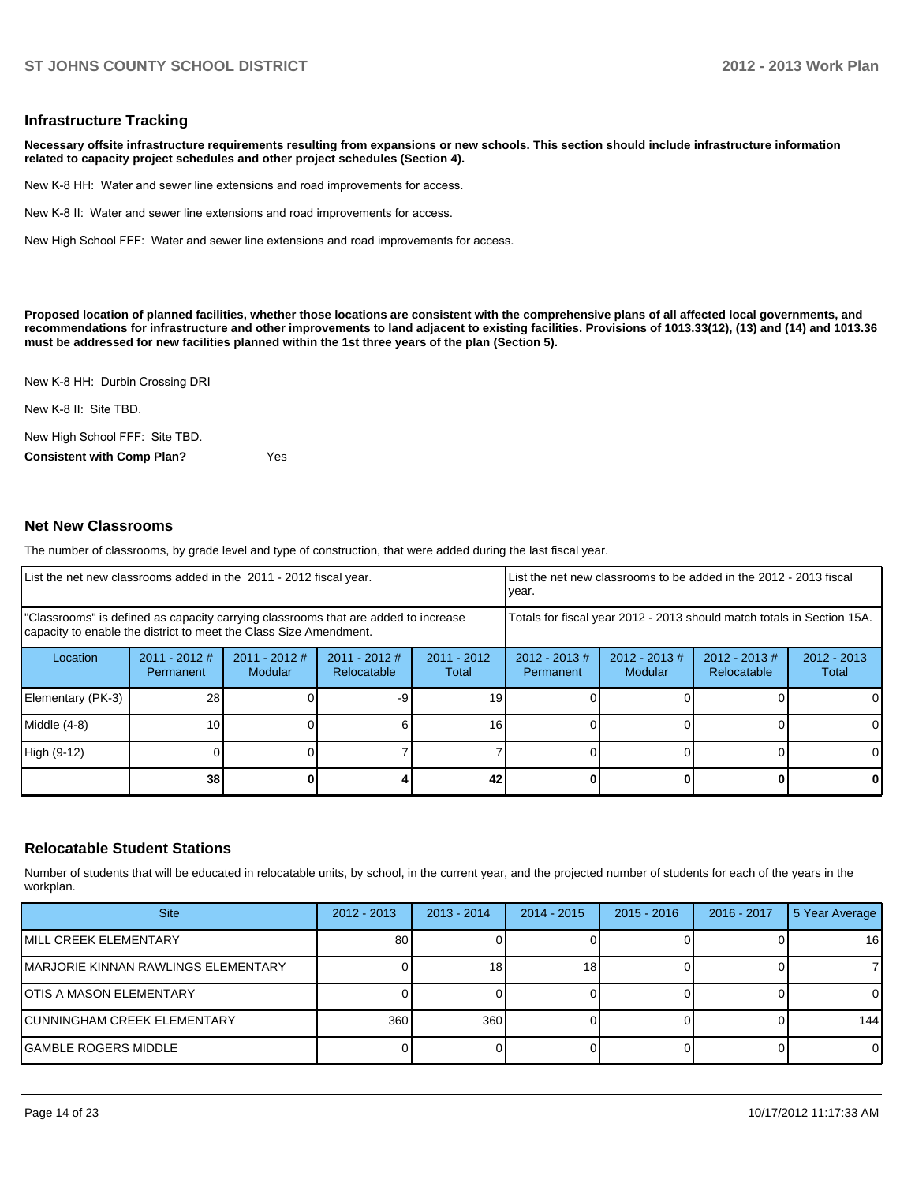#### **Infrastructure Tracking**

**Necessary offsite infrastructure requirements resulting from expansions or new schools. This section should include infrastructure information related to capacity project schedules and other project schedules (Section 4).**

New K-8 HH: Water and sewer line extensions and road improvements for access.

New K-8 II: Water and sewer line extensions and road improvements for access.

New High School FFF: Water and sewer line extensions and road improvements for access.

**Proposed location of planned facilities, whether those locations are consistent with the comprehensive plans of all affected local governments, and recommendations for infrastructure and other improvements to land adjacent to existing facilities. Provisions of 1013.33(12), (13) and (14) and 1013.36 must be addressed for new facilities planned within the 1st three years of the plan (Section 5).**

New K-8 HH: Durbin Crossing DRI

New K-8 II: Site TBD.

New High School FFF: Site TBD.

**Consistent with Comp Plan?** Yes

#### **Net New Classrooms**

The number of classrooms, by grade level and type of construction, that were added during the last fiscal year.

| List the net new classrooms added in the 2011 - 2012 fiscal year.                                                                                       |                              |                                   |                                |                                                                        | vear.                         |                            | List the net new classrooms to be added in the 2012 - 2013 fiscal |                        |
|---------------------------------------------------------------------------------------------------------------------------------------------------------|------------------------------|-----------------------------------|--------------------------------|------------------------------------------------------------------------|-------------------------------|----------------------------|-------------------------------------------------------------------|------------------------|
| "Classrooms" is defined as capacity carrying classrooms that are added to increase<br>capacity to enable the district to meet the Class Size Amendment. |                              |                                   |                                | Totals for fiscal year 2012 - 2013 should match totals in Section 15A. |                               |                            |                                                                   |                        |
| Location                                                                                                                                                | $2011 - 2012$ #<br>Permanent | $2011 - 2012$ #<br><b>Modular</b> | $2011 - 2012$ #<br>Relocatable | $2011 - 2012$<br>Total                                                 | $2012 - 2013 \#$<br>Permanent | $2012 - 2013$ #<br>Modular | $2012 - 2013 \#$<br>Relocatable                                   | $2012 - 2013$<br>Total |
| Elementary (PK-3)                                                                                                                                       | 28                           |                                   |                                | 19                                                                     |                               |                            |                                                                   | $\Omega$               |
| Middle (4-8)                                                                                                                                            | 10                           |                                   |                                | 16                                                                     |                               |                            |                                                                   | $\Omega$               |
| High (9-12)                                                                                                                                             |                              |                                   |                                |                                                                        |                               |                            |                                                                   | $\Omega$               |
|                                                                                                                                                         | 38                           |                                   |                                | 42                                                                     |                               |                            | 0                                                                 | $\mathbf{0}$           |

#### **Relocatable Student Stations**

Number of students that will be educated in relocatable units, by school, in the current year, and the projected number of students for each of the years in the workplan.

| <b>Site</b>                         | $2012 - 2013$ | $2013 - 2014$ | $2014 - 2015$ | $2015 - 2016$ | 2016 - 2017 | 5 Year Average |
|-------------------------------------|---------------|---------------|---------------|---------------|-------------|----------------|
| MILL CREEK ELEMENTARY               | 80            |               |               |               |             | 16             |
| MARJORIE KINNAN RAWLINGS ELEMENTARY |               | 18            | 18.           |               |             |                |
| IOTIS A MASON ELEMENTARY            |               |               |               |               |             | 0              |
| CUNNINGHAM CREEK ELEMENTARY         | 360           | 360           |               |               |             | 144            |
| <b>GAMBLE ROGERS MIDDLE</b>         |               |               |               |               |             | $\Omega$       |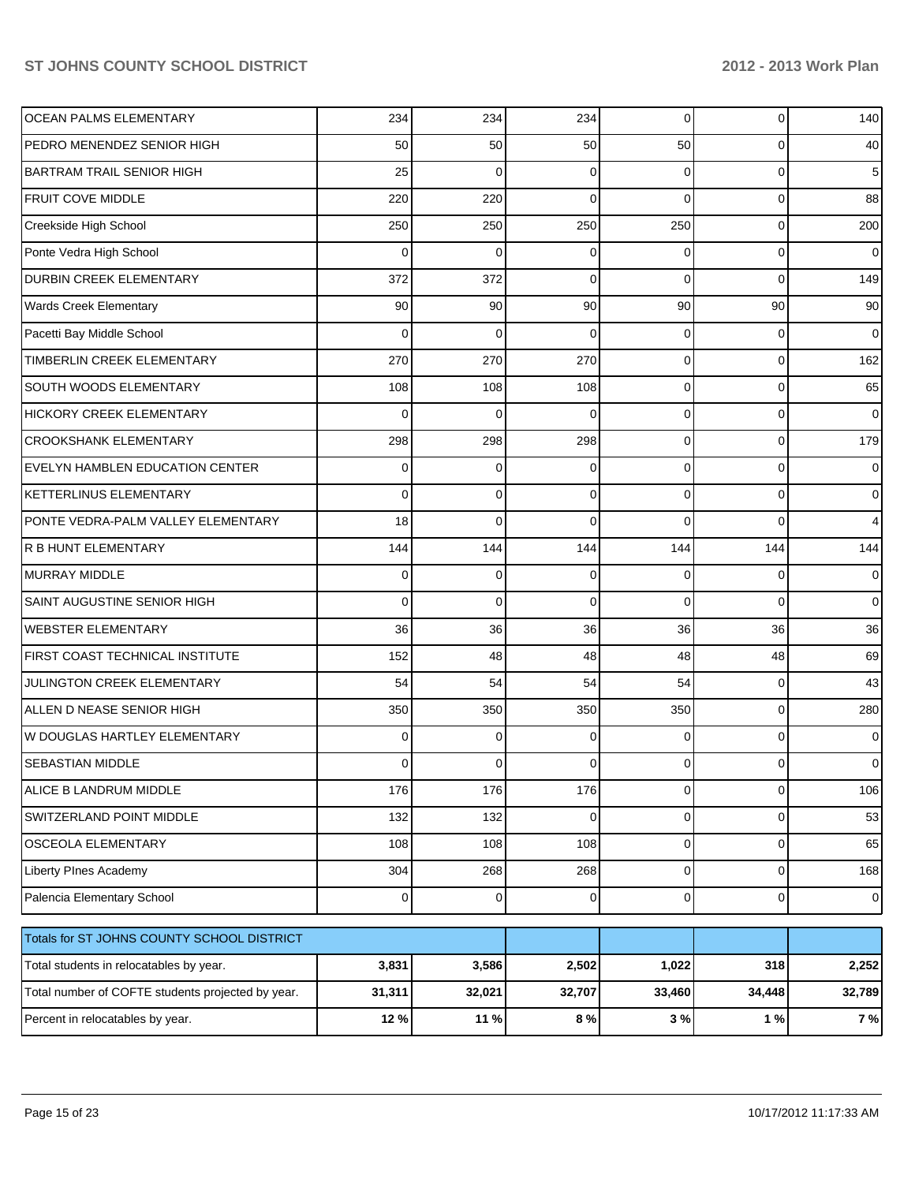| <b>OCEAN PALMS ELEMENTARY</b>                     | 234            | 234      | 234      | $\Omega$ | 0        | 140            |
|---------------------------------------------------|----------------|----------|----------|----------|----------|----------------|
| PEDRO MENENDEZ SENIOR HIGH                        | 50             | 50       | 50       | 50       | 0        | 40             |
| <b>BARTRAM TRAIL SENIOR HIGH</b>                  | 25             | $\Omega$ | 0        | $\Omega$ | 0        | 5              |
| <b>FRUIT COVE MIDDLE</b>                          | 220            | 220      | 0        | $\Omega$ | 0        | 88             |
| Creekside High School                             | 250            | 250      | 250      | 250      | 0        | 200            |
| Ponte Vedra High School                           | 0              | 0        | 0        | $\Omega$ | 0        | 0              |
| <b>DURBIN CREEK ELEMENTARY</b>                    | 372            | 372      | 0        | $\Omega$ | 0        | 149            |
| <b>Wards Creek Elementary</b>                     | 90             | 90       | 90       | 90       | 90       | 90             |
| Pacetti Bay Middle School                         | 0              | $\Omega$ | 0        | $\Omega$ | 0        | 0              |
| TIMBERLIN CREEK ELEMENTARY                        | 270            | 270      | 270      | $\Omega$ | 0        | 162            |
| <b>SOUTH WOODS ELEMENTARY</b>                     | 108            | 108      | 108      | $\Omega$ | 0        | 65             |
| <b>HICKORY CREEK ELEMENTARY</b>                   | 0              | $\Omega$ | 0        | $\Omega$ | 0        | 0              |
| <b>CROOKSHANK ELEMENTARY</b>                      | 298            | 298      | 298      | $\Omega$ | 0        | 179            |
| EVELYN HAMBLEN EDUCATION CENTER                   | 0              | 0        | 0        | $\Omega$ | 0        | 0              |
| <b>KETTERLINUS ELEMENTARY</b>                     | 0              | $\Omega$ | 0        | $\Omega$ | 0        | 0              |
| PONTE VEDRA-PALM VALLEY ELEMENTARY                | 18             | $\Omega$ | $\Omega$ | $\Omega$ | $\Omega$ | 4              |
| R B HUNT ELEMENTARY                               | 144            | 144      | 144      | 144      | 144      | 144            |
| <b>MURRAY MIDDLE</b>                              | 0              | 0        | 0        | $\Omega$ | 0        | 0              |
| SAINT AUGUSTINE SENIOR HIGH                       | 0              | 0        | 0        | $\Omega$ | $\Omega$ | 0              |
| <b>WEBSTER ELEMENTARY</b>                         | 36             | 36       | 36       | 36       | 36       | 36             |
| FIRST COAST TECHNICAL INSTITUTE                   | 152            | 48       | 48       | 48       | 48       | 69             |
| JULINGTON CREEK ELEMENTARY                        | 54             | 54       | 54       | 54       | 0        | 43             |
| ALLEN D NEASE SENIOR HIGH                         | 350            | 350      | 350      | 350      | 0        | 280            |
| W DOUGLAS HARTLEY ELEMENTARY                      | 0              | 0        | 0        | 0        | 0        | 0              |
| <b>SEBASTIAN MIDDLE</b>                           | 0              | 0        | 0        | 0        | 0        | 0              |
| ALICE B LANDRUM MIDDLE                            | 176            | 176      | 176      | 0        | 0        | 106            |
| SWITZERLAND POINT MIDDLE                          | 132            | 132      | 0        | 0        | 0        | 53             |
| OSCEOLA ELEMENTARY                                | 108            | 108      | 108      | 0        | 0        | 65             |
| Liberty PInes Academy                             | 304            | 268      | 268      | 0        | 0        | 168            |
| Palencia Elementary School                        | $\overline{0}$ | 0        | 0        | 0        | 0        | $\overline{0}$ |
| Totals for ST JOHNS COUNTY SCHOOL DISTRICT        |                |          |          |          |          |                |
| Total students in relocatables by year.           | 3,831          | 3,586    | 2,502    | 1,022    | 318      | 2,252          |
| Total number of COFTE students projected by year. | 31,311         | 32,021   | 32,707   | 33,460   | 34,448   | 32,789         |
| Percent in relocatables by year.                  | 12 %           | 11 %     | 8%       | 3%       | $1\%$    | 7%             |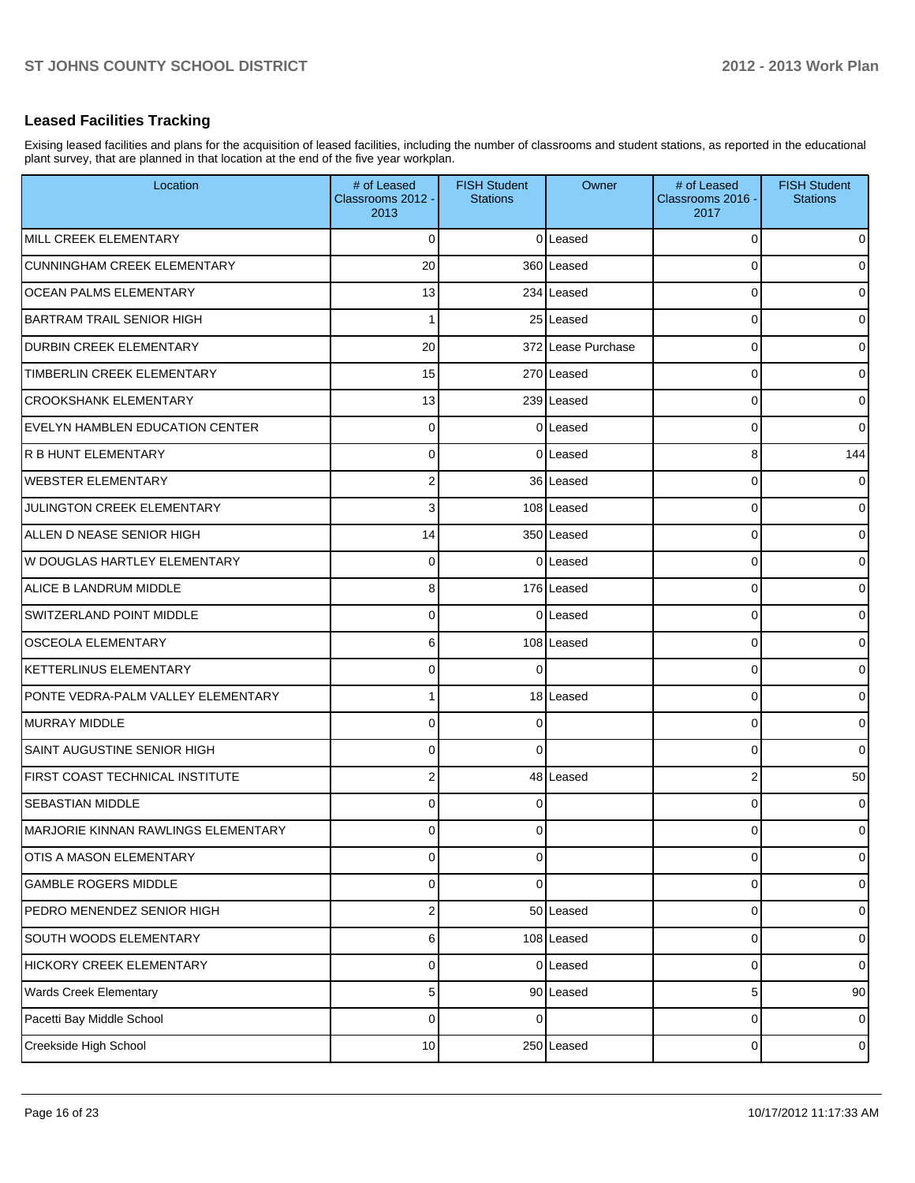#### **Leased Facilities Tracking**

Exising leased facilities and plans for the acquisition of leased facilities, including the number of classrooms and student stations, as reported in the educational plant survey, that are planned in that location at the end of the five year workplan.

| Location                                   | # of Leased<br>Classrooms 2012 -<br>2013 | <b>FISH Student</b><br><b>Stations</b> | Owner              | # of Leased<br>Classrooms 2016 -<br>2017 | <b>FISH Student</b><br><b>Stations</b> |
|--------------------------------------------|------------------------------------------|----------------------------------------|--------------------|------------------------------------------|----------------------------------------|
| MILL CREEK ELEMENTARY                      | 0                                        |                                        | 0Leased            | 0                                        | $\overline{0}$                         |
| <b>CUNNINGHAM CREEK ELEMENTARY</b>         | 20                                       |                                        | 360 Leased         | 0                                        | $\overline{0}$                         |
| <b>OCEAN PALMS ELEMENTARY</b>              | 13                                       |                                        | 234 Leased         | 0                                        | $\overline{0}$                         |
| <b>BARTRAM TRAIL SENIOR HIGH</b>           |                                          |                                        | 25 Leased          | 0                                        | $\overline{0}$                         |
| <b>DURBIN CREEK ELEMENTARY</b>             | 20                                       |                                        | 372 Lease Purchase | 0                                        | $\overline{0}$                         |
| TIMBERLIN CREEK ELEMENTARY                 | 15                                       |                                        | 270 Leased         | 0                                        | $\overline{0}$                         |
| <b>CROOKSHANK ELEMENTARY</b>               | 13                                       |                                        | 239 Leased         | 0                                        | $\overline{0}$                         |
| <b>EVELYN HAMBLEN EDUCATION CENTER</b>     | $\mathbf 0$                              |                                        | 0 Leased           | 0                                        | $\overline{0}$                         |
| R B HUNT ELEMENTARY                        | $\mathbf 0$                              |                                        | 0Leased            | 8                                        | 144                                    |
| <b>WEBSTER ELEMENTARY</b>                  | $\overline{2}$                           |                                        | 36 Leased          | 0                                        | $\overline{0}$                         |
| JULINGTON CREEK ELEMENTARY                 | 3                                        |                                        | 108 Leased         | 0                                        | $\overline{0}$                         |
| ALLEN D NEASE SENIOR HIGH                  | 14                                       |                                        | 350 Leased         | 0                                        | $\overline{0}$                         |
| W DOUGLAS HARTLEY ELEMENTARY               | $\mathbf 0$                              |                                        | 0Leased            | 0                                        | $\overline{0}$                         |
| ALICE B LANDRUM MIDDLE                     | 8                                        |                                        | 176 Leased         | 0                                        | $\overline{0}$                         |
| <b>SWITZERLAND POINT MIDDLE</b>            | 0                                        |                                        | 0 Leased           | 0                                        | $\overline{0}$                         |
| <b>OSCEOLA ELEMENTARY</b>                  | 6                                        |                                        | 108 Leased         | 0                                        | $\overline{0}$                         |
| <b>KETTERLINUS ELEMENTARY</b>              | $\Omega$                                 | $\Omega$                               |                    | 0                                        | $\overline{0}$                         |
| PONTE VEDRA-PALM VALLEY ELEMENTARY         |                                          |                                        | 18 Leased          | 0                                        | $\overline{0}$                         |
| <b>MURRAY MIDDLE</b>                       | 0                                        | $\Omega$                               |                    | 0                                        | $\overline{0}$                         |
| <b>SAINT AUGUSTINE SENIOR HIGH</b>         | $\mathbf 0$                              | $\Omega$                               |                    | 0                                        | $\overline{0}$                         |
| FIRST COAST TECHNICAL INSTITUTE            | $\overline{2}$                           |                                        | 48 Leased          | 2                                        | 50                                     |
| <b>SEBASTIAN MIDDLE</b>                    | 0                                        | $\Omega$                               |                    | 0                                        | $\overline{0}$                         |
| <b>MARJORIE KINNAN RAWLINGS ELEMENTARY</b> | 0                                        | 0                                      |                    | 0                                        | $\overline{0}$                         |
| OTIS A MASON ELEMENTARY                    | $\mathbf 0$                              | 0                                      |                    | 0                                        | $\overline{0}$                         |
| <b>GAMBLE ROGERS MIDDLE</b>                | 0                                        | 0                                      |                    | 0                                        | $\overline{0}$                         |
| PEDRO MENENDEZ SENIOR HIGH                 | $\boldsymbol{2}$                         |                                        | 50 Leased          | 0                                        | $\overline{0}$                         |
| SOUTH WOODS ELEMENTARY                     | 6                                        |                                        | 108 Leased         | 0                                        | $\overline{0}$                         |
| HICKORY CREEK ELEMENTARY                   | $\mathbf 0$                              |                                        | 0 Leased           | 0                                        | $\overline{0}$                         |
| <b>Wards Creek Elementary</b>              | 5                                        |                                        | 90 Leased          | 5                                        | 90                                     |
| Pacetti Bay Middle School                  | $\mathbf 0$                              | $\Omega$                               |                    | 0                                        | $\overline{0}$                         |
| Creekside High School                      | 10                                       |                                        | 250 Leased         | 0                                        | $\overline{0}$                         |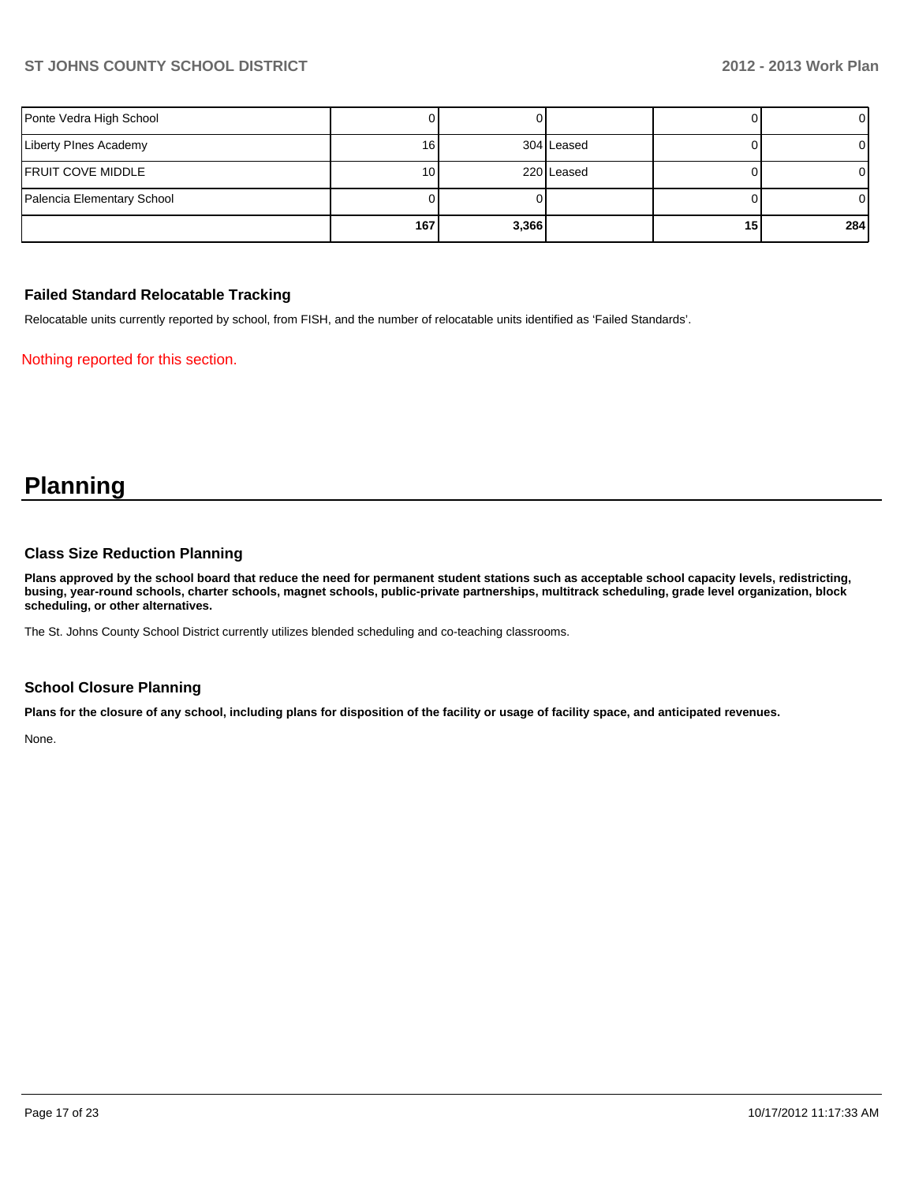| Ponte Vedra High School    |      |       |            |                 | ΟI  |
|----------------------------|------|-------|------------|-----------------|-----|
| Liberty PInes Academy      | 161  |       | 304 Leased |                 | OΙ  |
| FRUIT COVE MIDDLE          | 10 I |       | 220 Leased |                 |     |
| Palencia Elementary School |      |       |            |                 | ΟI  |
|                            | 167  | 3,366 |            | 15 <sub>1</sub> | 284 |

#### **Failed Standard Relocatable Tracking**

Relocatable units currently reported by school, from FISH, and the number of relocatable units identified as 'Failed Standards'.

Nothing reported for this section.

# **Planning**

#### **Class Size Reduction Planning**

**Plans approved by the school board that reduce the need for permanent student stations such as acceptable school capacity levels, redistricting, busing, year-round schools, charter schools, magnet schools, public-private partnerships, multitrack scheduling, grade level organization, block scheduling, or other alternatives.**

The St. Johns County School District currently utilizes blended scheduling and co-teaching classrooms.

### **School Closure Planning**

**Plans for the closure of any school, including plans for disposition of the facility or usage of facility space, and anticipated revenues.**

None.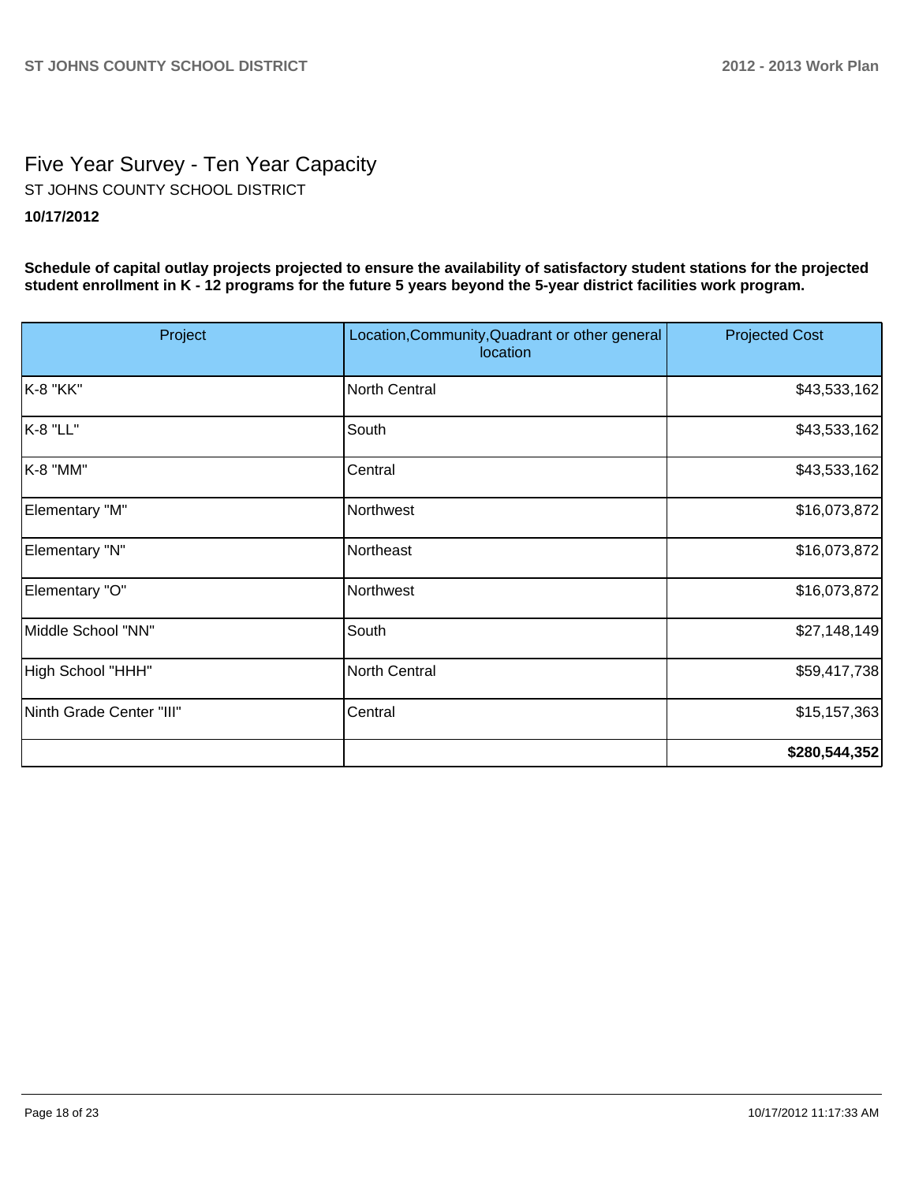# Five Year Survey - Ten Year Capacity **10/17/2012** ST JOHNS COUNTY SCHOOL DISTRICT

**Schedule of capital outlay projects projected to ensure the availability of satisfactory student stations for the projected student enrollment in K - 12 programs for the future 5 years beyond the 5-year district facilities work program.**

| Project                  | Location, Community, Quadrant or other general<br>location | <b>Projected Cost</b> |
|--------------------------|------------------------------------------------------------|-----------------------|
| K-8 "KK"                 | North Central                                              | \$43,533,162          |
| K-8 "LL"                 | South                                                      | \$43,533,162          |
| K-8 "MM"                 | Central                                                    | \$43,533,162          |
| Elementary "M"           | Northwest                                                  | \$16,073,872          |
| Elementary "N"           | Northeast                                                  | \$16,073,872          |
| Elementary "O"           | Northwest                                                  | \$16,073,872          |
| Middle School "NN"       | South                                                      | \$27,148,149          |
| High School "HHH"        | North Central                                              | \$59,417,738          |
| Ninth Grade Center "III" | Central                                                    | \$15, 157, 363        |
|                          |                                                            | \$280,544,352         |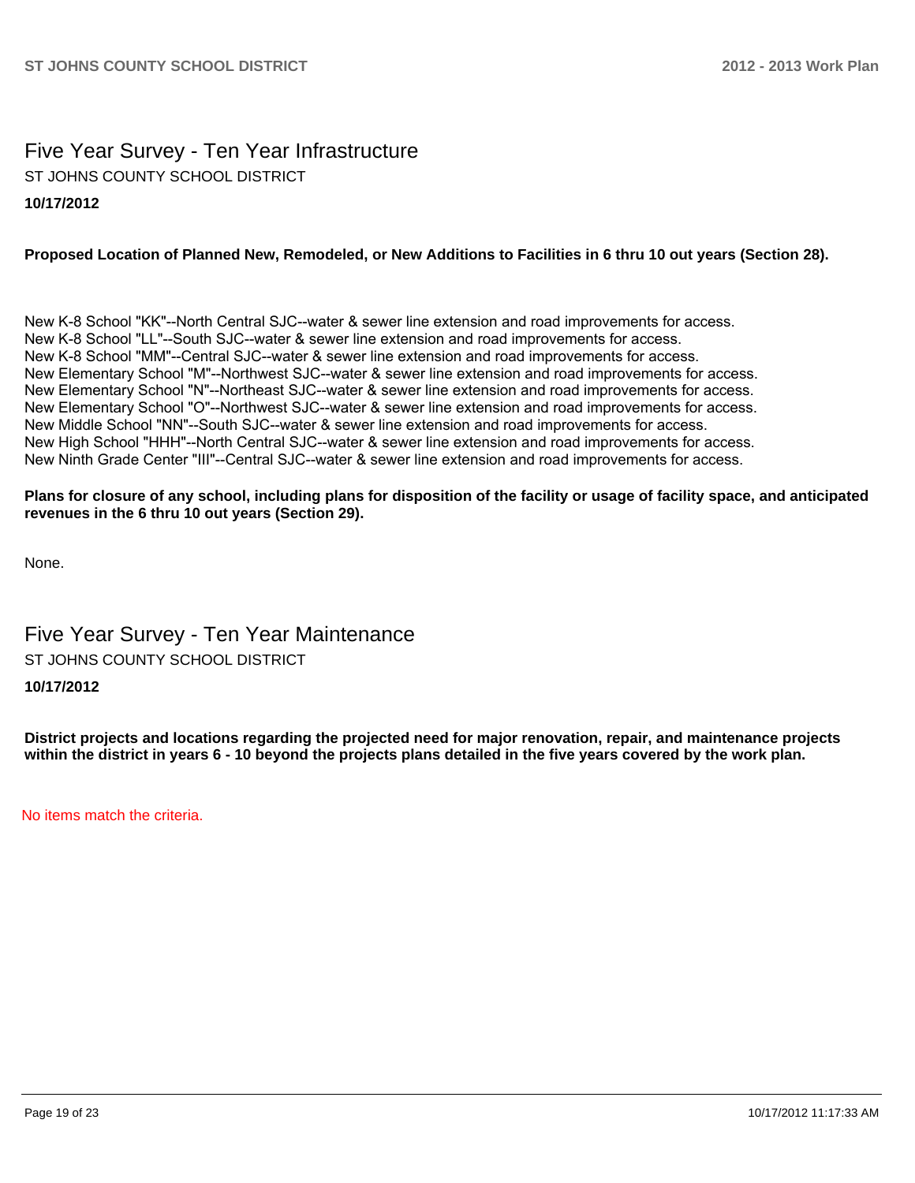# Five Year Survey - Ten Year Infrastructure ST JOHNS COUNTY SCHOOL DISTRICT

# **10/17/2012**

#### **Proposed Location of Planned New, Remodeled, or New Additions to Facilities in 6 thru 10 out years (Section 28).**

New K-8 School "KK"--North Central SJC--water & sewer line extension and road improvements for access. New K-8 School "LL"--South SJC--water & sewer line extension and road improvements for access. New K-8 School "MM"--Central SJC--water & sewer line extension and road improvements for access. New Elementary School "M"--Northwest SJC--water & sewer line extension and road improvements for access. New Elementary School "N"--Northeast SJC--water & sewer line extension and road improvements for access. New Elementary School "O"--Northwest SJC--water & sewer line extension and road improvements for access. New Middle School "NN"--South SJC--water & sewer line extension and road improvements for access. New High School "HHH"--North Central SJC--water & sewer line extension and road improvements for access. New Ninth Grade Center "III"--Central SJC--water & sewer line extension and road improvements for access.

#### **Plans for closure of any school, including plans for disposition of the facility or usage of facility space, and anticipated revenues in the 6 thru 10 out years (Section 29).**

None.

# Five Year Survey - Ten Year Maintenance ST JOHNS COUNTY SCHOOL DISTRICT

## **10/17/2012**

**District projects and locations regarding the projected need for major renovation, repair, and maintenance projects within the district in years 6 - 10 beyond the projects plans detailed in the five years covered by the work plan.**

No items match the criteria.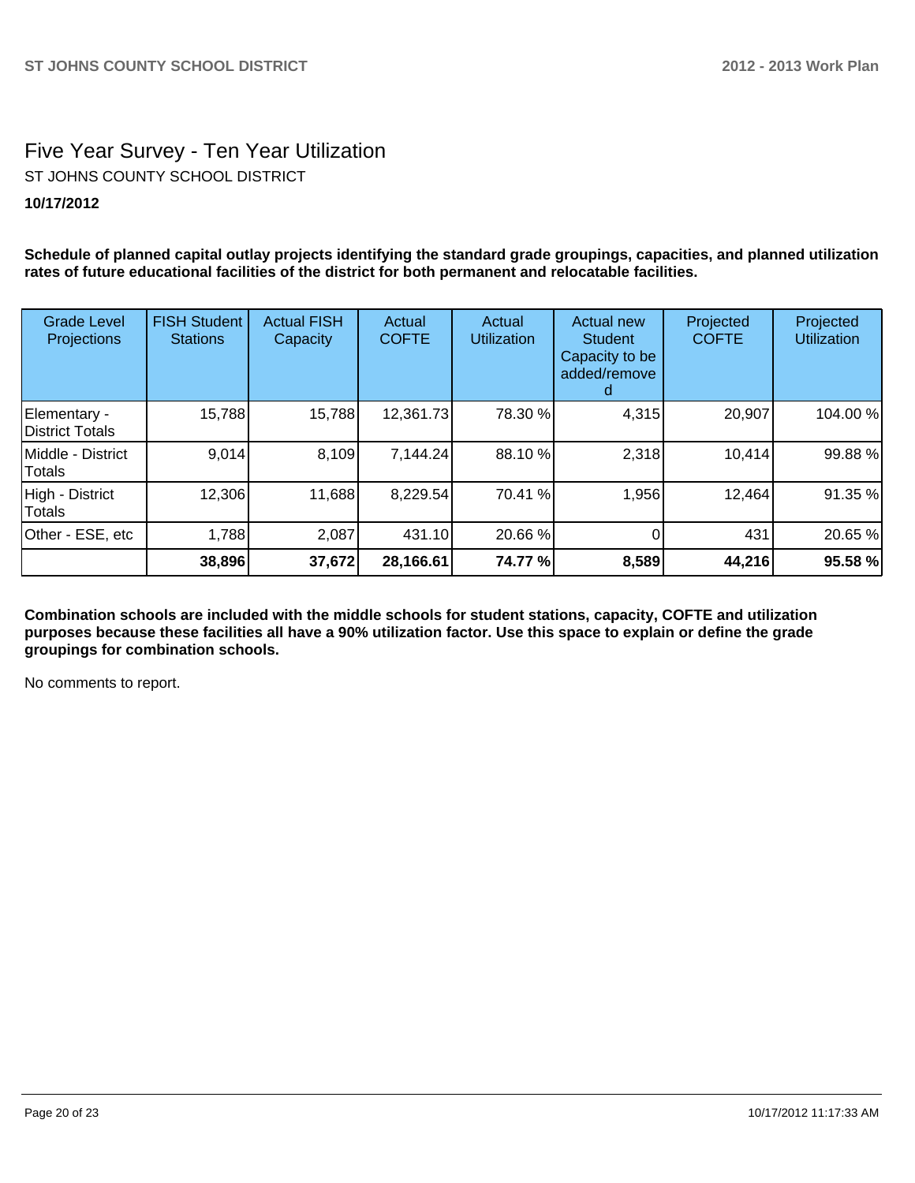# Five Year Survey - Ten Year Utilization

ST JOHNS COUNTY SCHOOL DISTRICT

# **10/17/2012**

**Schedule of planned capital outlay projects identifying the standard grade groupings, capacities, and planned utilization rates of future educational facilities of the district for both permanent and relocatable facilities.**

| <b>Grade Level</b><br>Projections | <b>FISH Student</b><br><b>Stations</b> | <b>Actual FISH</b><br>Capacity | Actual<br><b>COFTE</b> | Actual<br><b>Utilization</b> | Actual new<br>Student<br>Capacity to be<br>added/remove | Projected<br><b>COFTE</b> | Projected<br><b>Utilization</b> |
|-----------------------------------|----------------------------------------|--------------------------------|------------------------|------------------------------|---------------------------------------------------------|---------------------------|---------------------------------|
| Elementary -<br>District Totals   | 15,788                                 | 15,788                         | 12,361.73              | 78.30 %                      | 4,315                                                   | 20,907                    | 104.00%                         |
| Middle - District<br>Totals       | 9,014                                  | 8,109                          | 7,144.24               | 88.10 %                      | 2,318                                                   | 10,414                    | 99.88 %                         |
| High - District<br>Totals         | 12,306                                 | 11,688                         | 8,229.54               | 70.41 %                      | 1,956                                                   | 12,464                    | 91.35 %                         |
| Other - ESE, etc                  | 1,788                                  | 2,087                          | 431.10                 | 20.66 %                      |                                                         | 431                       | 20.65 %                         |
|                                   | 38,896                                 | 37,672                         | 28,166.61              | 74.77 %                      | 8,589                                                   | 44,216                    | 95.58 %                         |

**Combination schools are included with the middle schools for student stations, capacity, COFTE and utilization purposes because these facilities all have a 90% utilization factor. Use this space to explain or define the grade groupings for combination schools.**

No comments to report.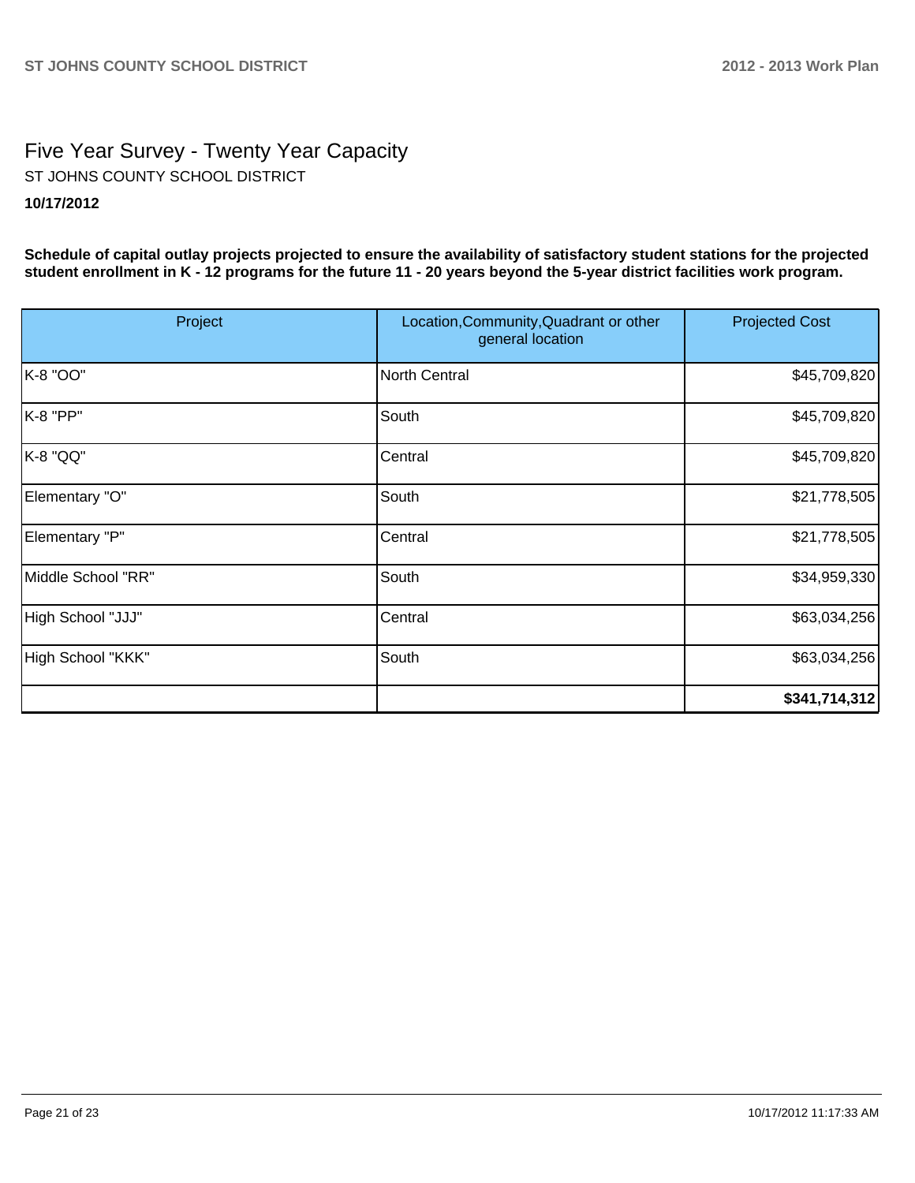# Five Year Survey - Twenty Year Capacity **10/17/2012** ST JOHNS COUNTY SCHOOL DISTRICT

**Schedule of capital outlay projects projected to ensure the availability of satisfactory student stations for the projected student enrollment in K - 12 programs for the future 11 - 20 years beyond the 5-year district facilities work program.**

| Project            | Location, Community, Quadrant or other<br>general location | <b>Projected Cost</b> |
|--------------------|------------------------------------------------------------|-----------------------|
| K-8 "OO"           | North Central                                              | \$45,709,820          |
| K-8 "PP"           | South                                                      | \$45,709,820          |
| K-8 "QQ"           | Central                                                    | \$45,709,820          |
| Elementary "O"     | South                                                      | \$21,778,505          |
| Elementary "P"     | Central                                                    | \$21,778,505          |
| Middle School "RR" | South                                                      | \$34,959,330          |
| High School "JJJ"  | Central                                                    | \$63,034,256          |
| High School "KKK"  | South                                                      | \$63,034,256          |
|                    |                                                            | \$341,714,312         |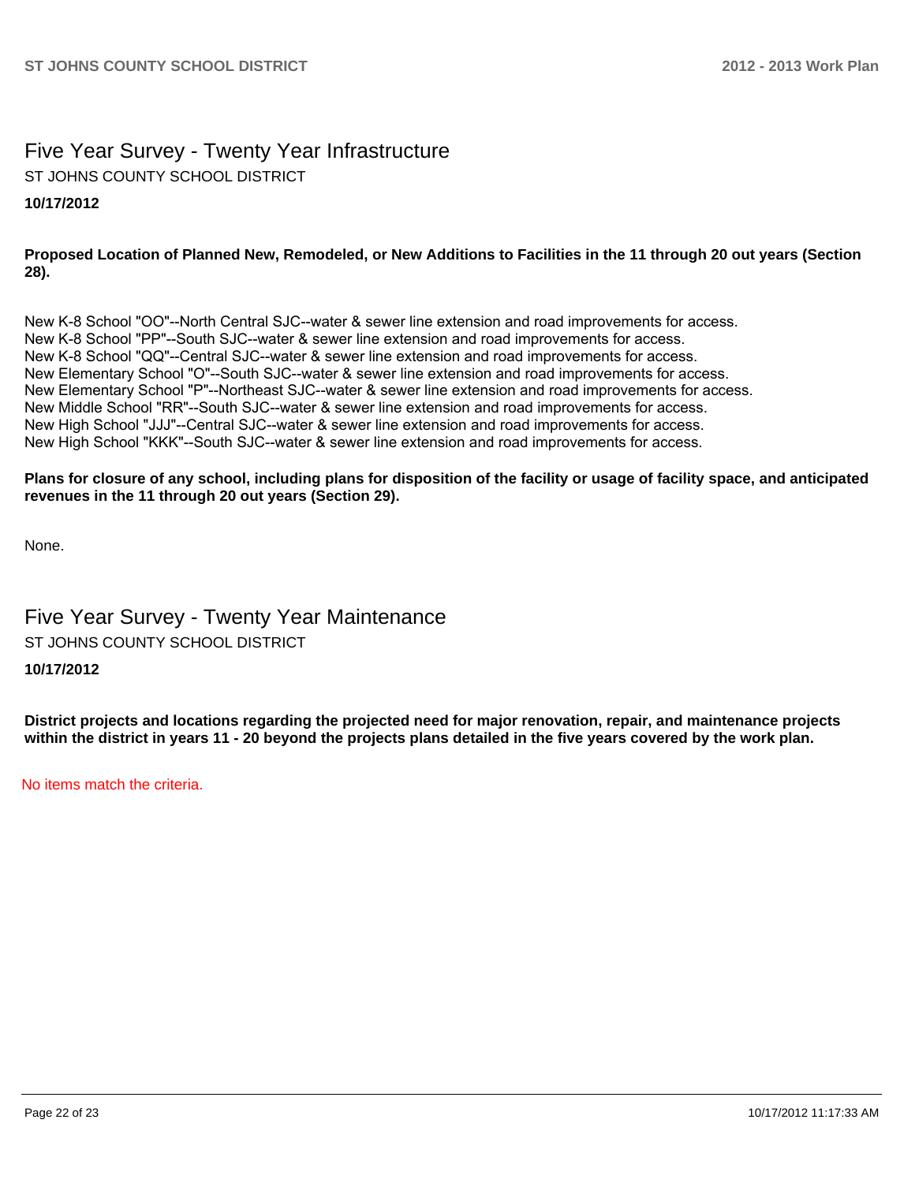# Five Year Survey - Twenty Year Infrastructure

ST JOHNS COUNTY SCHOOL DISTRICT

# **10/17/2012**

## **Proposed Location of Planned New, Remodeled, or New Additions to Facilities in the 11 through 20 out years (Section 28).**

New K-8 School "OO"--North Central SJC--water & sewer line extension and road improvements for access. New K-8 School "PP"--South SJC--water & sewer line extension and road improvements for access. New K-8 School "QQ"--Central SJC--water & sewer line extension and road improvements for access. New Elementary School "O"--South SJC--water & sewer line extension and road improvements for access. New Elementary School "P"--Northeast SJC--water & sewer line extension and road improvements for access. New Middle School "RR"--South SJC--water & sewer line extension and road improvements for access. New High School "JJJ"--Central SJC--water & sewer line extension and road improvements for access. New High School "KKK"--South SJC--water & sewer line extension and road improvements for access.

#### **Plans for closure of any school, including plans for disposition of the facility or usage of facility space, and anticipated revenues in the 11 through 20 out years (Section 29).**

None.

# Five Year Survey - Twenty Year Maintenance ST JOHNS COUNTY SCHOOL DISTRICT

## **10/17/2012**

**District projects and locations regarding the projected need for major renovation, repair, and maintenance projects within the district in years 11 - 20 beyond the projects plans detailed in the five years covered by the work plan.**

No items match the criteria.